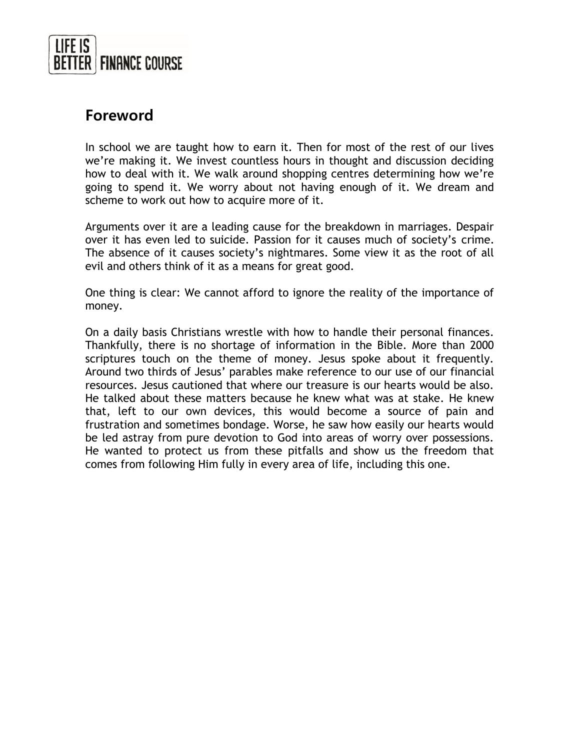

# **Foreword**

In school we are taught how to earn it. Then for most of the rest of our lives we're making it. We invest countless hours in thought and discussion deciding how to deal with it. We walk around shopping centres determining how we're going to spend it. We worry about not having enough of it. We dream and scheme to work out how to acquire more of it.

Arguments over it are a leading cause for the breakdown in marriages. Despair over it has even led to suicide. Passion for it causes much of society's crime. The absence of it causes society's nightmares. Some view it as the root of all evil and others think of it as a means for great good.

One thing is clear: We cannot afford to ignore the reality of the importance of money.

On a daily basis Christians wrestle with how to handle their personal finances. Thankfully, there is no shortage of information in the Bible. More than 2000 scriptures touch on the theme of money. Jesus spoke about it frequently. Around two thirds of Jesus' parables make reference to our use of our financial resources. Jesus cautioned that where our treasure is our hearts would be also. He talked about these matters because he knew what was at stake. He knew that, left to our own devices, this would become a source of pain and frustration and sometimes bondage. Worse, he saw how easily our hearts would be led astray from pure devotion to God into areas of worry over possessions. He wanted to protect us from these pitfalls and show us the freedom that comes from following Him fully in every area of life, including this one.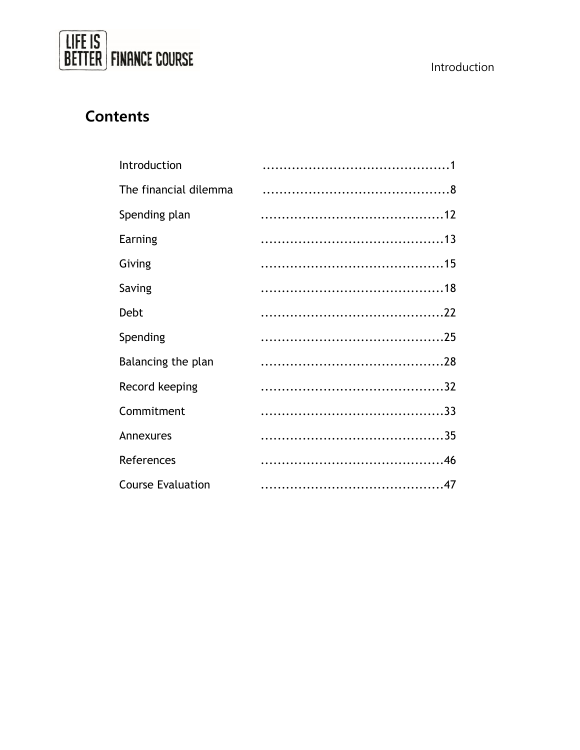

# Introduction

# **Contents**

| Introduction             |  |
|--------------------------|--|
| The financial dilemma    |  |
| Spending plan            |  |
| Earning                  |  |
| Giving                   |  |
| Saving                   |  |
| Debt                     |  |
| Spending                 |  |
| Balancing the plan       |  |
| Record keeping           |  |
| Commitment               |  |
| Annexures                |  |
| References               |  |
| <b>Course Evaluation</b> |  |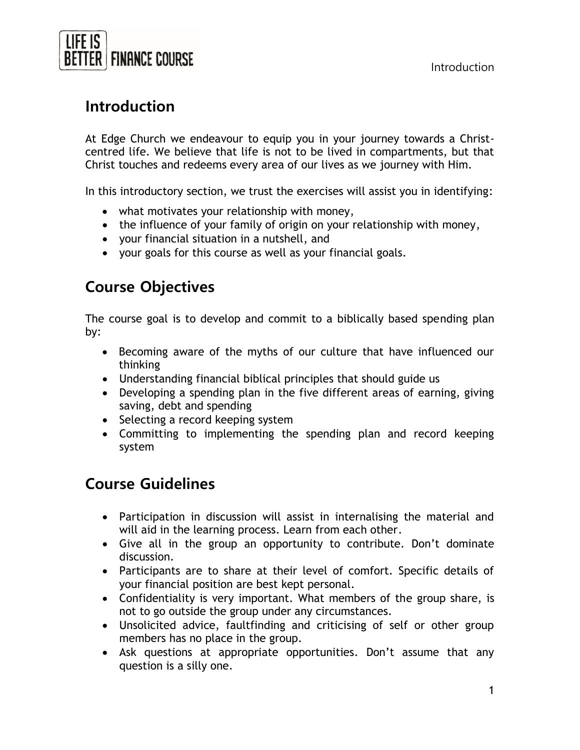# LIFE IS **BETTER | FINANCE COURSE**

# **Introduction**

At Edge Church we endeavour to equip you in your journey towards a Christcentred life. We believe that life is not to be lived in compartments, but that Christ touches and redeems every area of our lives as we journey with Him.

In this introductory section, we trust the exercises will assist you in identifying:

- what motivates your relationship with money,
- the influence of your family of origin on your relationship with money,
- your financial situation in a nutshell, and
- your goals for this course as well as your financial goals.

# **Course Objectives**

The course goal is to develop and commit to a biblically based spending plan by:

- Becoming aware of the myths of our culture that have influenced our thinking
- Understanding financial biblical principles that should guide us
- Developing a spending plan in the five different areas of earning, giving saving, debt and spending
- Selecting a record keeping system
- Committing to implementing the spending plan and record keeping system

# **Course Guidelines**

- Participation in discussion will assist in internalising the material and will aid in the learning process. Learn from each other.
- Give all in the group an opportunity to contribute. Don't dominate discussion.
- Participants are to share at their level of comfort. Specific details of your financial position are best kept personal.
- Confidentiality is very important. What members of the group share, is not to go outside the group under any circumstances.
- Unsolicited advice, faultfinding and criticising of self or other group members has no place in the group.
- Ask questions at appropriate opportunities. Don't assume that any question is a silly one.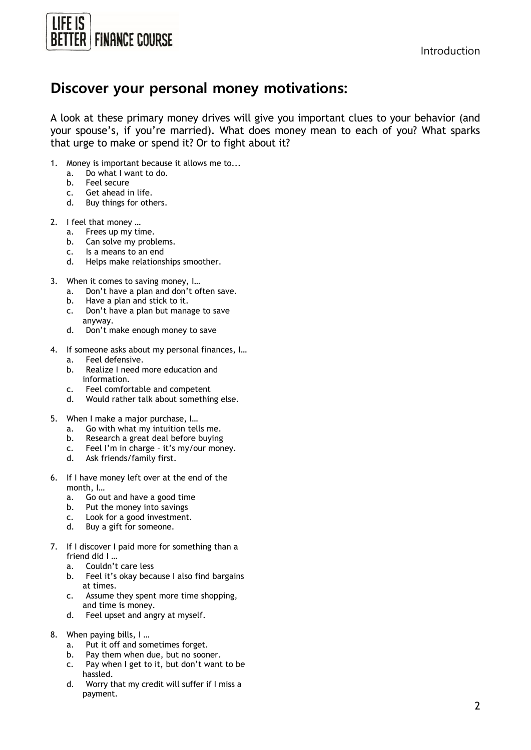R | FINANCE COURSE

# **Discover your personal money motivations:**

A look at these primary money drives will give you important clues to your behavior (and your spouse's, if you're married). What does money mean to each of you? What sparks that urge to make or spend it? Or to fight about it?

- 1. Money is important because it allows me to...
	- a. Do what I want to do.
	- b. Feel secure
	- c. Get ahead in life.
	- d. Buy things for others.

### 2. I feel that money …

- a. Frees up my time.
- b. Can solve my problems.
- c. Is a means to an end
- d. Helps make relationships smoother.
- 3. When it comes to saving money, I…
	- a. Don't have a plan and don't often save.
	- b. Have a plan and stick to it.
	- c. Don't have a plan but manage to save anyway.
	- d. Don't make enough money to save
- 4. If someone asks about my personal finances, I…
	- a. Feel defensive.
	- b. Realize I need more education and
	- information.
	- c. Feel comfortable and competent
	- d. Would rather talk about something else.
- 5. When I make a major purchase, I…
	- a. Go with what my intuition tells me.<br>b. Research a great deal before buving
	- b. Research a great deal before buying<br>c. Feel I'm in charge it's my/our mon
	- c. Feel I'm in charge it's my/our money.<br>d. Ask friends/family first.
	- Ask friends/family first.
- 6. If I have money left over at the end of the month, I…
	- a. Go out and have a good time
	- b. Put the money into savings
	- c. Look for a good investment.
	- d. Buy a gift for someone.
- 7. If I discover I paid more for something than a friend did I …
	- a. Couldn't care less
	- b. Feel it's okay because I also find bargains at times.
	- c. Assume they spent more time shopping, and time is money.
	- d. Feel upset and angry at myself.
- 8. When paying bills, I …
	- a. Put it off and sometimes forget.
	- b. Pay them when due, but no sooner.
	- c. Pay when I get to it, but don't want to be hassled.
	- d. Worry that my credit will suffer if I miss a payment.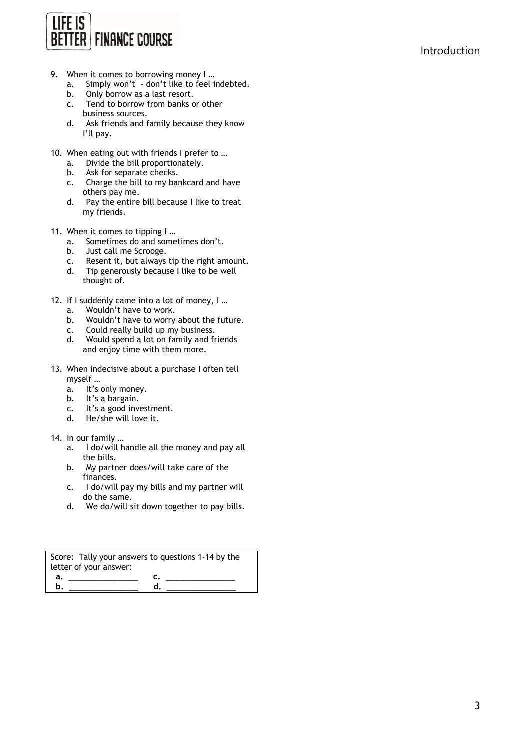

- 9. When it comes to borrowing money I ...
	- a. Simply won't don't like to feel indebted.
	- b. Only borrow as a last resort.
	- c. Tend to borrow from banks or other business sources.
	- d. Ask friends and family because they know I'll pay.
- 10. When eating out with friends I prefer to …
	- a. Divide the bill proportionately.
	- b. Ask for separate checks.
	- c. Charge the bill to my bankcard and have others pay me.
	- d. Pay the entire bill because I like to treat my friends.
- 11. When it comes to tipping I …
	- a. Sometimes do and sometimes don't.
	-
	- b. Just call me Scrooge.<br>c. Resent it, but always tip the right amount. c. Resent it, but always tip the right amount.
	- d. Tip generously because I like to be well thought of.
- 12. If I suddenly came into a lot of money, I ...
	- a. Wouldn't have to work.
	- b. Wouldn't have to worry about the future.
	- c. Could really build up my business.
	- d. Would spend a lot on family and friends and enjoy time with them more.
- 13. When indecisive about a purchase I often tell myself …
	- a. It's only money.<br>b. It's a bargain.
	-
	- b. It's a bargain.<br>c. It's a good inv It's a good investment.
	- d. He/she will love it.
- 14. In our family …
	- a. I do/will handle all the money and pay all the bills.
	- b. My partner does/will take care of the finances.
	- c. I do/will pay my bills and my partner will do the same.
	- d. We do/will sit down together to pay bills.

| letter of your answer: | Score: Tally your answers to questions 1-14 by the |
|------------------------|----------------------------------------------------|
| а.                     |                                                    |
| D.                     |                                                    |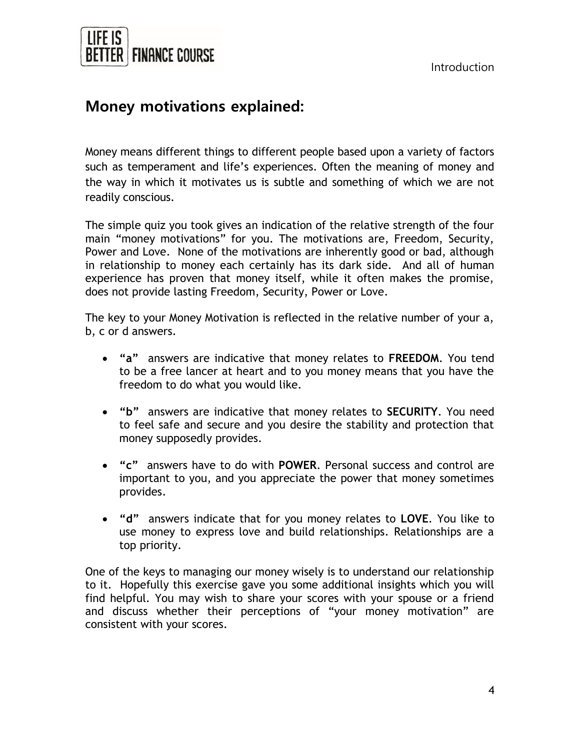

# **Money motivations explained:**

Money means different things to different people based upon a variety of factors such as temperament and life's experiences. Often the meaning of money and the way in which it motivates us is subtle and something of which we are not readily conscious.

The simple quiz you took gives an indication of the relative strength of the four main "money motivations" for you. The motivations are, Freedom, Security, Power and Love. None of the motivations are inherently good or bad, although in relationship to money each certainly has its dark side. And all of human experience has proven that money itself, while it often makes the promise, does not provide lasting Freedom, Security, Power or Love.

The key to your Money Motivation is reflected in the relative number of your a, b, c or d answers.

- **"a"** answers are indicative that money relates to **FREEDOM**. You tend to be a free lancer at heart and to you money means that you have the freedom to do what you would like.
- **"b"** answers are indicative that money relates to **SECURITY**. You need to feel safe and secure and you desire the stability and protection that money supposedly provides.
- **"c"** answers have to do with **POWER**. Personal success and control are important to you, and you appreciate the power that money sometimes provides.
- **"d"** answers indicate that for you money relates to **LOVE**. You like to use money to express love and build relationships. Relationships are a top priority.

One of the keys to managing our money wisely is to understand our relationship to it. Hopefully this exercise gave you some additional insights which you will find helpful. You may wish to share your scores with your spouse or a friend and discuss whether their perceptions of "your money motivation" are consistent with your scores.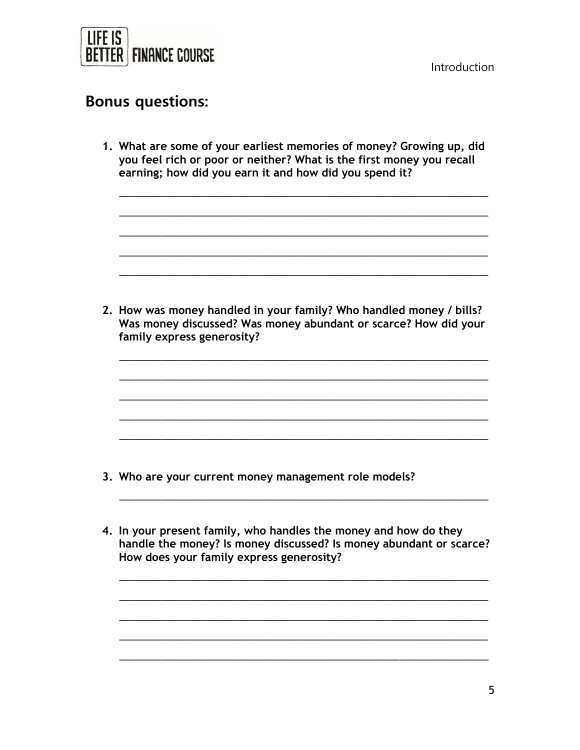

Introduction

# **Bonus questions:**

**1. What are some of your earliest memories of money? Growing up, did you feel rich or poor or neither? What is the first money you recall earning; how did you earn it and how did you spend it?**  \_\_\_\_\_\_\_\_\_\_\_\_\_\_\_\_\_\_\_\_\_\_\_\_\_\_\_\_\_\_\_\_\_\_\_\_\_\_\_\_\_\_\_\_\_\_\_\_\_\_\_\_\_\_\_\_\_\_\_\_\_\_

\_\_\_\_\_\_\_\_\_\_\_\_\_\_\_\_\_\_\_\_\_\_\_\_\_\_\_\_\_\_\_\_\_\_\_\_\_\_\_\_\_\_\_\_\_\_\_\_\_\_\_\_\_\_\_\_\_\_\_\_\_\_

\_\_\_\_\_\_\_\_\_\_\_\_\_\_\_\_\_\_\_\_\_\_\_\_\_\_\_\_\_\_\_\_\_\_\_\_\_\_\_\_\_\_\_\_\_\_\_\_\_\_\_\_\_\_\_\_\_\_\_\_\_\_

\_\_\_\_\_\_\_\_\_\_\_\_\_\_\_\_\_\_\_\_\_\_\_\_\_\_\_\_\_\_\_\_\_\_\_\_\_\_\_\_\_\_\_\_\_\_\_\_\_\_\_\_\_\_\_\_\_\_\_\_\_\_

\_\_\_\_\_\_\_\_\_\_\_\_\_\_\_\_\_\_\_\_\_\_\_\_\_\_\_\_\_\_\_\_\_\_\_\_\_\_\_\_\_\_\_\_\_\_\_\_\_\_\_\_\_\_\_\_\_\_\_\_\_\_

**2. How was money handled in your family? Who handled money / bills? Was money discussed? Was money abundant or scarce? How did your family express generosity?**

\_\_\_\_\_\_\_\_\_\_\_\_\_\_\_\_\_\_\_\_\_\_\_\_\_\_\_\_\_\_\_\_\_\_\_\_\_\_\_\_\_\_\_\_\_\_\_\_\_\_\_\_\_\_\_\_\_\_\_\_\_\_

\_\_\_\_\_\_\_\_\_\_\_\_\_\_\_\_\_\_\_\_\_\_\_\_\_\_\_\_\_\_\_\_\_\_\_\_\_\_\_\_\_\_\_\_\_\_\_\_\_\_\_\_\_\_\_\_\_\_\_\_\_\_

\_\_\_\_\_\_\_\_\_\_\_\_\_\_\_\_\_\_\_\_\_\_\_\_\_\_\_\_\_\_\_\_\_\_\_\_\_\_\_\_\_\_\_\_\_\_\_\_\_\_\_\_\_\_\_\_\_\_\_\_\_\_

\_\_\_\_\_\_\_\_\_\_\_\_\_\_\_\_\_\_\_\_\_\_\_\_\_\_\_\_\_\_\_\_\_\_\_\_\_\_\_\_\_\_\_\_\_\_\_\_\_\_\_\_\_\_\_\_\_\_\_\_\_\_

\_\_\_\_\_\_\_\_\_\_\_\_\_\_\_\_\_\_\_\_\_\_\_\_\_\_\_\_\_\_\_\_\_\_\_\_\_\_\_\_\_\_\_\_\_\_\_\_\_\_\_\_\_\_\_\_\_\_\_\_\_\_

\_\_\_\_\_\_\_\_\_\_\_\_\_\_\_\_\_\_\_\_\_\_\_\_\_\_\_\_\_\_\_\_\_\_\_\_\_\_\_\_\_\_\_\_\_\_\_\_\_\_\_\_\_\_\_\_\_\_\_\_\_\_

- **3. Who are your current money management role models?**
- **4. In your present family, who handles the money and how do they handle the money? Is money discussed? Is money abundant or scarce? How does your family express generosity?**

\_\_\_\_\_\_\_\_\_\_\_\_\_\_\_\_\_\_\_\_\_\_\_\_\_\_\_\_\_\_\_\_\_\_\_\_\_\_\_\_\_\_\_\_\_\_\_\_\_\_\_\_\_\_\_\_\_\_\_\_\_\_

\_\_\_\_\_\_\_\_\_\_\_\_\_\_\_\_\_\_\_\_\_\_\_\_\_\_\_\_\_\_\_\_\_\_\_\_\_\_\_\_\_\_\_\_\_\_\_\_\_\_\_\_\_\_\_\_\_\_\_\_\_\_

\_\_\_\_\_\_\_\_\_\_\_\_\_\_\_\_\_\_\_\_\_\_\_\_\_\_\_\_\_\_\_\_\_\_\_\_\_\_\_\_\_\_\_\_\_\_\_\_\_\_\_\_\_\_\_\_\_\_\_\_\_\_

\_\_\_\_\_\_\_\_\_\_\_\_\_\_\_\_\_\_\_\_\_\_\_\_\_\_\_\_\_\_\_\_\_\_\_\_\_\_\_\_\_\_\_\_\_\_\_\_\_\_\_\_\_\_\_\_\_\_\_\_\_\_

\_\_\_\_\_\_\_\_\_\_\_\_\_\_\_\_\_\_\_\_\_\_\_\_\_\_\_\_\_\_\_\_\_\_\_\_\_\_\_\_\_\_\_\_\_\_\_\_\_\_\_\_\_\_\_\_\_\_\_\_\_\_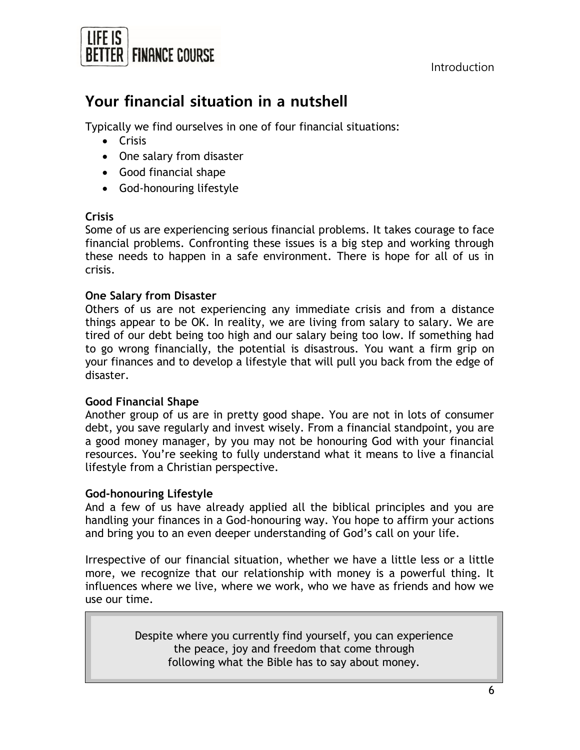Introduction



# **Your financial situation in a nutshell**

Typically we find ourselves in one of four financial situations:

- Crisis
- One salary from disaster
- Good financial shape
- God-honouring lifestyle

# **Crisis**

Some of us are experiencing serious financial problems. It takes courage to face financial problems. Confronting these issues is a big step and working through these needs to happen in a safe environment. There is hope for all of us in crisis.

### **One Salary from Disaster**

Others of us are not experiencing any immediate crisis and from a distance things appear to be OK. In reality, we are living from salary to salary. We are tired of our debt being too high and our salary being too low. If something had to go wrong financially, the potential is disastrous. You want a firm grip on your finances and to develop a lifestyle that will pull you back from the edge of disaster.

### **Good Financial Shape**

Another group of us are in pretty good shape. You are not in lots of consumer debt, you save regularly and invest wisely. From a financial standpoint, you are a good money manager, by you may not be honouring God with your financial resources. You're seeking to fully understand what it means to live a financial lifestyle from a Christian perspective.

### **God-honouring Lifestyle**

And a few of us have already applied all the biblical principles and you are handling your finances in a God-honouring way. You hope to affirm your actions and bring you to an even deeper understanding of God's call on your life.

Irrespective of our financial situation, whether we have a little less or a little more, we recognize that our relationship with money is a powerful thing. It influences where we live, where we work, who we have as friends and how we use our time.

> Despite where you currently find yourself, you can experience the peace, joy and freedom that come through following what the Bible has to say about money.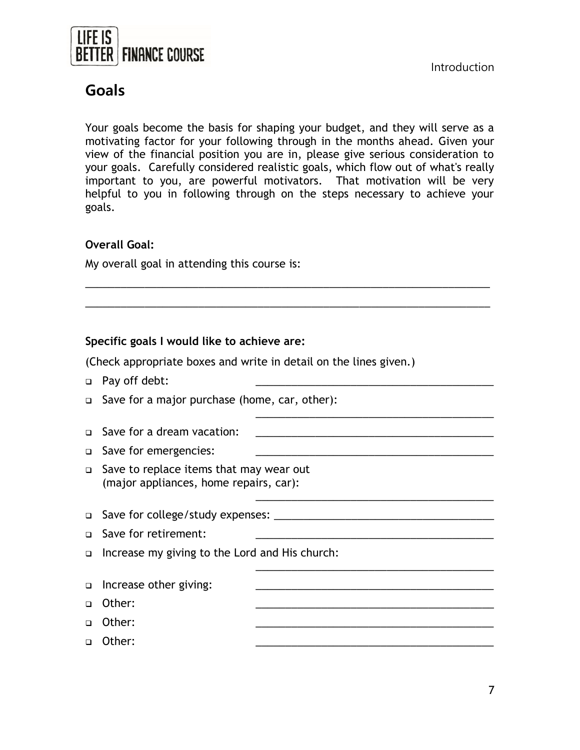

# **Goals**

Your goals become the basis for shaping your budget, and they will serve as a motivating factor for your following through in the months ahead. Given your view of the financial position you are in, please give serious consideration to your goals. Carefully considered realistic goals, which flow out of what's really important to you, are powerful motivators. That motivation will be very helpful to you in following through on the steps necessary to achieve your goals.

\_\_\_\_\_\_\_\_\_\_\_\_\_\_\_\_\_\_\_\_\_\_\_\_\_\_\_\_\_\_\_\_\_\_\_\_\_\_\_\_\_\_\_\_\_\_\_\_\_\_\_\_\_\_\_\_\_\_\_\_\_\_\_\_\_\_\_\_

\_\_\_\_\_\_\_\_\_\_\_\_\_\_\_\_\_\_\_\_\_\_\_\_\_\_\_\_\_\_\_\_\_\_\_\_\_\_\_\_\_\_\_\_\_\_\_\_\_\_\_\_\_\_\_\_\_\_\_\_\_\_\_\_\_\_\_\_

# **Overall Goal:**

My overall goal in attending this course is:

# **Specific goals I would like to achieve are:**

(Check appropriate boxes and write in detail on the lines given.)

❑ Pay off debt: \_\_\_\_\_\_\_\_\_\_\_\_\_\_\_\_\_\_\_\_\_\_\_\_\_\_\_\_\_\_\_\_\_\_\_\_\_\_\_\_

❑ Save for a major purchase (home, car, other):

❑ Save for a dream vacation: \_\_\_\_\_\_\_\_\_\_\_\_\_\_\_\_\_\_\_\_\_\_\_\_\_\_\_\_\_\_\_\_\_\_\_\_\_\_\_\_

- ❑ Save for emergencies: \_\_\_\_\_\_\_\_\_\_\_\_\_\_\_\_\_\_\_\_\_\_\_\_\_\_\_\_\_\_\_\_\_\_\_\_\_\_\_\_
- ❑ Save to replace items that may wear out (major appliances, home repairs, car):
- ❑ Save for college/study expenses: \_\_\_\_\_\_\_\_\_\_\_\_\_\_\_\_\_\_\_\_\_\_\_\_\_\_\_\_\_\_\_\_\_\_\_\_\_

□ Save for retirement:

❑ Increase my giving to the Lord and His church:

□ Increase other giving: ❑ Other: \_\_\_\_\_\_\_\_\_\_\_\_\_\_\_\_\_\_\_\_\_\_\_\_\_\_\_\_\_\_\_\_\_\_\_\_\_\_\_\_ ❑ Other: \_\_\_\_\_\_\_\_\_\_\_\_\_\_\_\_\_\_\_\_\_\_\_\_\_\_\_\_\_\_\_\_\_\_\_\_\_\_\_\_ ❑ Other: \_\_\_\_\_\_\_\_\_\_\_\_\_\_\_\_\_\_\_\_\_\_\_\_\_\_\_\_\_\_\_\_\_\_\_\_\_\_\_\_

\_\_\_\_\_\_\_\_\_\_\_\_\_\_\_\_\_\_\_\_\_\_\_\_\_\_\_\_\_\_\_\_\_\_\_\_\_\_\_\_

\_\_\_\_\_\_\_\_\_\_\_\_\_\_\_\_\_\_\_\_\_\_\_\_\_\_\_\_\_\_\_\_\_\_\_\_\_\_\_\_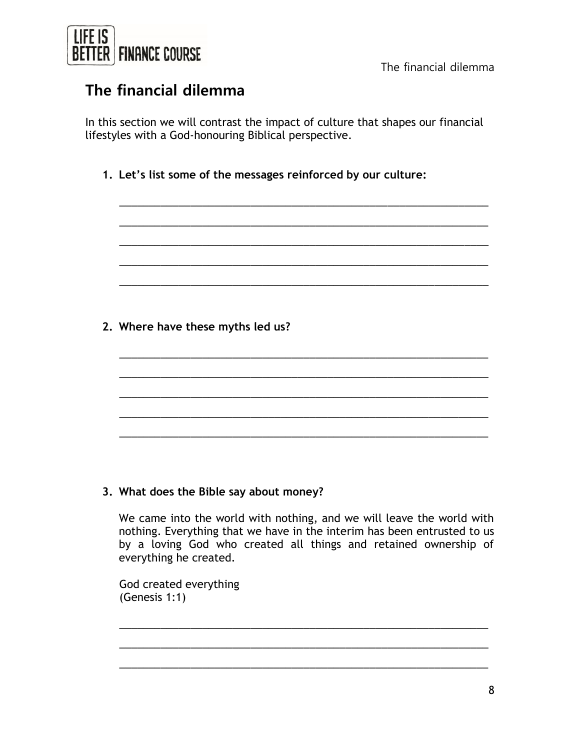

The financial dilemma

# **The financial dilemma**

In this section we will contrast the impact of culture that shapes our financial lifestyles with a God-honouring Biblical perspective.

\_\_\_\_\_\_\_\_\_\_\_\_\_\_\_\_\_\_\_\_\_\_\_\_\_\_\_\_\_\_\_\_\_\_\_\_\_\_\_\_\_\_\_\_\_\_\_\_\_\_\_\_\_\_\_\_\_\_\_\_\_\_

\_\_\_\_\_\_\_\_\_\_\_\_\_\_\_\_\_\_\_\_\_\_\_\_\_\_\_\_\_\_\_\_\_\_\_\_\_\_\_\_\_\_\_\_\_\_\_\_\_\_\_\_\_\_\_\_\_\_\_\_\_\_

\_\_\_\_\_\_\_\_\_\_\_\_\_\_\_\_\_\_\_\_\_\_\_\_\_\_\_\_\_\_\_\_\_\_\_\_\_\_\_\_\_\_\_\_\_\_\_\_\_\_\_\_\_\_\_\_\_\_\_\_\_\_

\_\_\_\_\_\_\_\_\_\_\_\_\_\_\_\_\_\_\_\_\_\_\_\_\_\_\_\_\_\_\_\_\_\_\_\_\_\_\_\_\_\_\_\_\_\_\_\_\_\_\_\_\_\_\_\_\_\_\_\_\_\_

\_\_\_\_\_\_\_\_\_\_\_\_\_\_\_\_\_\_\_\_\_\_\_\_\_\_\_\_\_\_\_\_\_\_\_\_\_\_\_\_\_\_\_\_\_\_\_\_\_\_\_\_\_\_\_\_\_\_\_\_\_\_

\_\_\_\_\_\_\_\_\_\_\_\_\_\_\_\_\_\_\_\_\_\_\_\_\_\_\_\_\_\_\_\_\_\_\_\_\_\_\_\_\_\_\_\_\_\_\_\_\_\_\_\_\_\_\_\_\_\_\_\_\_\_

\_\_\_\_\_\_\_\_\_\_\_\_\_\_\_\_\_\_\_\_\_\_\_\_\_\_\_\_\_\_\_\_\_\_\_\_\_\_\_\_\_\_\_\_\_\_\_\_\_\_\_\_\_\_\_\_\_\_\_\_\_\_

\_\_\_\_\_\_\_\_\_\_\_\_\_\_\_\_\_\_\_\_\_\_\_\_\_\_\_\_\_\_\_\_\_\_\_\_\_\_\_\_\_\_\_\_\_\_\_\_\_\_\_\_\_\_\_\_\_\_\_\_\_\_

\_\_\_\_\_\_\_\_\_\_\_\_\_\_\_\_\_\_\_\_\_\_\_\_\_\_\_\_\_\_\_\_\_\_\_\_\_\_\_\_\_\_\_\_\_\_\_\_\_\_\_\_\_\_\_\_\_\_\_\_\_\_

\_\_\_\_\_\_\_\_\_\_\_\_\_\_\_\_\_\_\_\_\_\_\_\_\_\_\_\_\_\_\_\_\_\_\_\_\_\_\_\_\_\_\_\_\_\_\_\_\_\_\_\_\_\_\_\_\_\_\_\_\_\_

**1. Let's list some of the messages reinforced by our culture:**

# **2. Where have these myths led us?**

### **3. What does the Bible say about money?**

We came into the world with nothing, and we will leave the world with nothing. Everything that we have in the interim has been entrusted to us by a loving God who created all things and retained ownership of everything he created.

\_\_\_\_\_\_\_\_\_\_\_\_\_\_\_\_\_\_\_\_\_\_\_\_\_\_\_\_\_\_\_\_\_\_\_\_\_\_\_\_\_\_\_\_\_\_\_\_\_\_\_\_\_\_\_\_\_\_\_\_\_\_

\_\_\_\_\_\_\_\_\_\_\_\_\_\_\_\_\_\_\_\_\_\_\_\_\_\_\_\_\_\_\_\_\_\_\_\_\_\_\_\_\_\_\_\_\_\_\_\_\_\_\_\_\_\_\_\_\_\_\_\_\_\_

\_\_\_\_\_\_\_\_\_\_\_\_\_\_\_\_\_\_\_\_\_\_\_\_\_\_\_\_\_\_\_\_\_\_\_\_\_\_\_\_\_\_\_\_\_\_\_\_\_\_\_\_\_\_\_\_\_\_\_\_\_\_

God created everything (Genesis 1:1)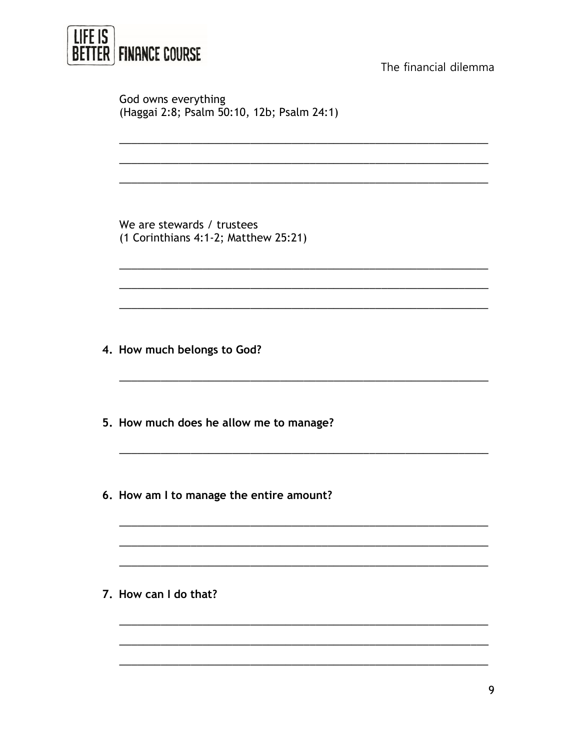# **LIFE IS<br>BETTER FINANCE COURSE**

The financial dilemma

| God owns everything<br>(Haggai 2:8; Psalm 50:10, 12b; Psalm 24:1)  |  |  |
|--------------------------------------------------------------------|--|--|
|                                                                    |  |  |
| We are stewards / trustees<br>(1 Corinthians 4:1-2; Matthew 25:21) |  |  |
|                                                                    |  |  |
| 4. How much belongs to God?                                        |  |  |
| 5. How much does he allow me to manage?                            |  |  |
| 6. How am I to manage the entire amount?                           |  |  |
|                                                                    |  |  |
| 7. How can I do that?                                              |  |  |
|                                                                    |  |  |
|                                                                    |  |  |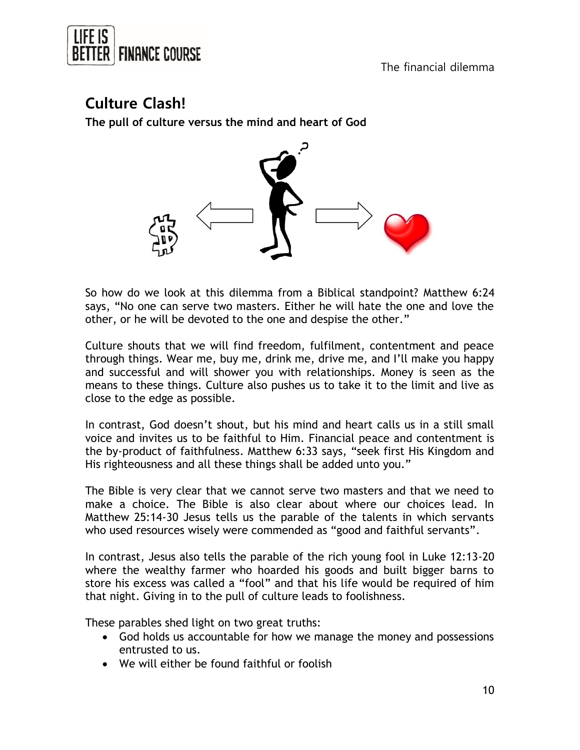

# **Culture Clash!**

**The pull of culture versus the mind and heart of God**



So how do we look at this dilemma from a Biblical standpoint? Matthew 6:24 says, "No one can serve two masters. Either he will hate the one and love the other, or he will be devoted to the one and despise the other."

Culture shouts that we will find freedom, fulfilment, contentment and peace through things. Wear me, buy me, drink me, drive me, and I'll make you happy and successful and will shower you with relationships. Money is seen as the means to these things. Culture also pushes us to take it to the limit and live as close to the edge as possible.

In contrast, God doesn't shout, but his mind and heart calls us in a still small voice and invites us to be faithful to Him. Financial peace and contentment is the by-product of faithfulness. Matthew 6:33 says, "seek first His Kingdom and His righteousness and all these things shall be added unto you."

The Bible is very clear that we cannot serve two masters and that we need to make a choice. The Bible is also clear about where our choices lead. In Matthew 25:14-30 Jesus tells us the parable of the talents in which servants who used resources wisely were commended as "good and faithful servants".

In contrast, Jesus also tells the parable of the rich young fool in Luke 12:13-20 where the wealthy farmer who hoarded his goods and built bigger barns to store his excess was called a "fool" and that his life would be required of him that night. Giving in to the pull of culture leads to foolishness.

These parables shed light on two great truths:

- God holds us accountable for how we manage the money and possessions entrusted to us.
- We will either be found faithful or foolish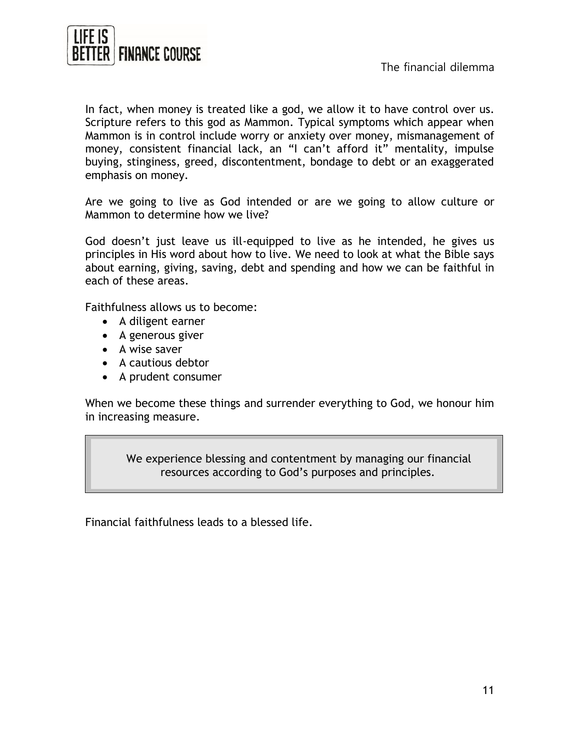

The financial dilemma

In fact, when money is treated like a god, we allow it to have control over us. Scripture refers to this god as Mammon. Typical symptoms which appear when Mammon is in control include worry or anxiety over money, mismanagement of money, consistent financial lack, an "I can't afford it" mentality, impulse buying, stinginess, greed, discontentment, bondage to debt or an exaggerated emphasis on money.

Are we going to live as God intended or are we going to allow culture or Mammon to determine how we live?

God doesn't just leave us ill-equipped to live as he intended, he gives us principles in His word about how to live. We need to look at what the Bible says about earning, giving, saving, debt and spending and how we can be faithful in each of these areas.

Faithfulness allows us to become:

- A diligent earner
- A generous giver
- A wise saver
- A cautious debtor
- A prudent consumer

When we become these things and surrender everything to God, we honour him in increasing measure.

We experience blessing and contentment by managing our financial resources according to God's purposes and principles.

Financial faithfulness leads to a blessed life.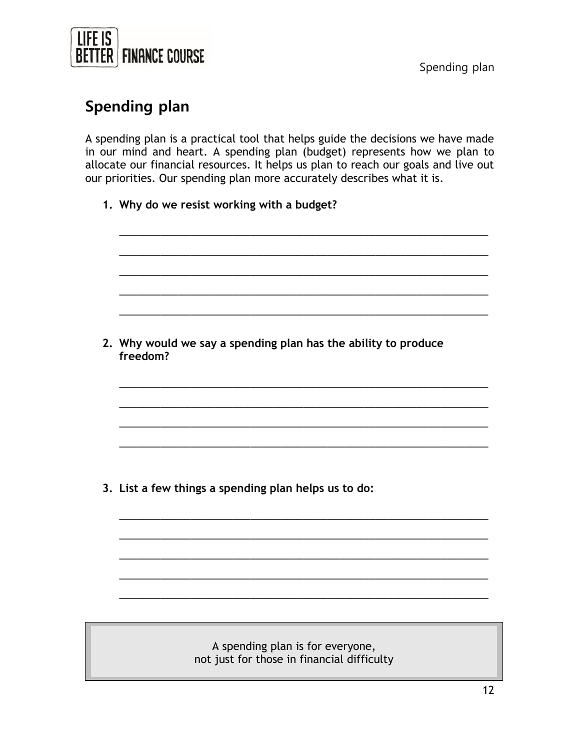

Spending plan

# **Spending plan**

A spending plan is a practical tool that helps guide the decisions we have made in our mind and heart. A spending plan (budget) represents how we plan to allocate our financial resources. It helps us plan to reach our goals and live out our priorities. Our spending plan more accurately describes what it is.

|  |  |  |  |  |  | 1. Why do we resist working with a budget? |
|--|--|--|--|--|--|--------------------------------------------|
|--|--|--|--|--|--|--------------------------------------------|

| 2. Why would we say a spending plan has the ability to produce<br>freedom? |
|----------------------------------------------------------------------------|
|                                                                            |
| 3. List a few things a spending plan helps us to do:                       |
|                                                                            |
|                                                                            |
|                                                                            |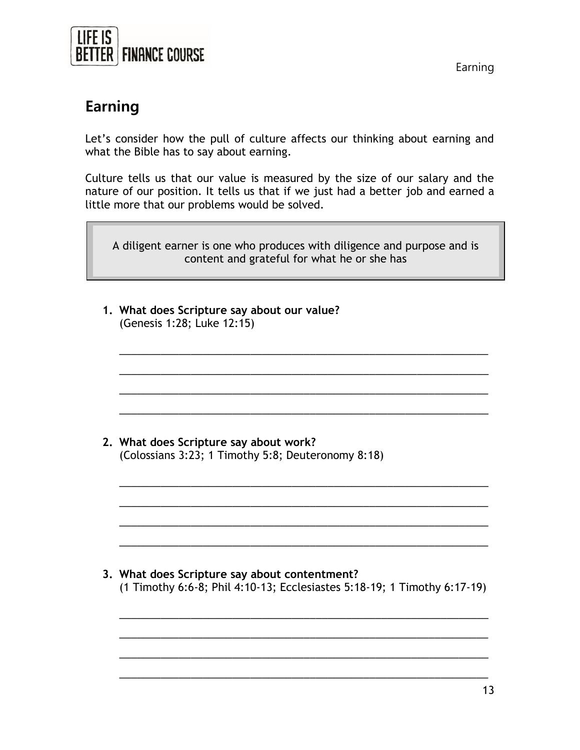

Earning

# **Earning**

Let's consider how the pull of culture affects our thinking about earning and what the Bible has to say about earning.

Culture tells us that our value is measured by the size of our salary and the nature of our position. It tells us that if we just had a better job and earned a little more that our problems would be solved.

A diligent earner is one who produces with diligence and purpose and is content and grateful for what he or she has

\_\_\_\_\_\_\_\_\_\_\_\_\_\_\_\_\_\_\_\_\_\_\_\_\_\_\_\_\_\_\_\_\_\_\_\_\_\_\_\_\_\_\_\_\_\_\_\_\_\_\_\_\_\_\_\_\_\_\_\_\_\_

\_\_\_\_\_\_\_\_\_\_\_\_\_\_\_\_\_\_\_\_\_\_\_\_\_\_\_\_\_\_\_\_\_\_\_\_\_\_\_\_\_\_\_\_\_\_\_\_\_\_\_\_\_\_\_\_\_\_\_\_\_\_

\_\_\_\_\_\_\_\_\_\_\_\_\_\_\_\_\_\_\_\_\_\_\_\_\_\_\_\_\_\_\_\_\_\_\_\_\_\_\_\_\_\_\_\_\_\_\_\_\_\_\_\_\_\_\_\_\_\_\_\_\_\_

\_\_\_\_\_\_\_\_\_\_\_\_\_\_\_\_\_\_\_\_\_\_\_\_\_\_\_\_\_\_\_\_\_\_\_\_\_\_\_\_\_\_\_\_\_\_\_\_\_\_\_\_\_\_\_\_\_\_\_\_\_\_

\_\_\_\_\_\_\_\_\_\_\_\_\_\_\_\_\_\_\_\_\_\_\_\_\_\_\_\_\_\_\_\_\_\_\_\_\_\_\_\_\_\_\_\_\_\_\_\_\_\_\_\_\_\_\_\_\_\_\_\_\_\_

\_\_\_\_\_\_\_\_\_\_\_\_\_\_\_\_\_\_\_\_\_\_\_\_\_\_\_\_\_\_\_\_\_\_\_\_\_\_\_\_\_\_\_\_\_\_\_\_\_\_\_\_\_\_\_\_\_\_\_\_\_\_

\_\_\_\_\_\_\_\_\_\_\_\_\_\_\_\_\_\_\_\_\_\_\_\_\_\_\_\_\_\_\_\_\_\_\_\_\_\_\_\_\_\_\_\_\_\_\_\_\_\_\_\_\_\_\_\_\_\_\_\_\_\_

\_\_\_\_\_\_\_\_\_\_\_\_\_\_\_\_\_\_\_\_\_\_\_\_\_\_\_\_\_\_\_\_\_\_\_\_\_\_\_\_\_\_\_\_\_\_\_\_\_\_\_\_\_\_\_\_\_\_\_\_\_\_

\_\_\_\_\_\_\_\_\_\_\_\_\_\_\_\_\_\_\_\_\_\_\_\_\_\_\_\_\_\_\_\_\_\_\_\_\_\_\_\_\_\_\_\_\_\_\_\_\_\_\_\_\_\_\_\_\_\_\_\_\_\_

\_\_\_\_\_\_\_\_\_\_\_\_\_\_\_\_\_\_\_\_\_\_\_\_\_\_\_\_\_\_\_\_\_\_\_\_\_\_\_\_\_\_\_\_\_\_\_\_\_\_\_\_\_\_\_\_\_\_\_\_\_\_

\_\_\_\_\_\_\_\_\_\_\_\_\_\_\_\_\_\_\_\_\_\_\_\_\_\_\_\_\_\_\_\_\_\_\_\_\_\_\_\_\_\_\_\_\_\_\_\_\_\_\_\_\_\_\_\_\_\_\_\_\_\_

\_\_\_\_\_\_\_\_\_\_\_\_\_\_\_\_\_\_\_\_\_\_\_\_\_\_\_\_\_\_\_\_\_\_\_\_\_\_\_\_\_\_\_\_\_\_\_\_\_\_\_\_\_\_\_\_\_\_\_\_\_\_

**1. What does Scripture say about our value?** (Genesis 1:28; Luke 12:15)

**2. What does Scripture say about work?** (Colossians 3:23; 1 Timothy 5:8; Deuteronomy 8:18)

# **3. What does Scripture say about contentment?** (1 Timothy 6:6-8; Phil 4:10-13; Ecclesiastes 5:18-19; 1 Timothy 6:17-19)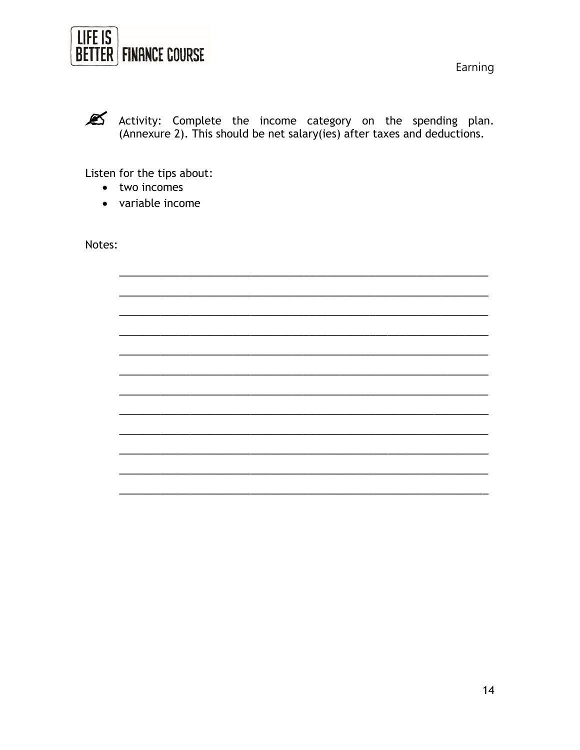

Earning



Activity: Complete the income category on the spending plan.<br>(Annexure 2). This should be net salary(ies) after taxes and deductions.

Listen for the tips about:

- two incomes
- variable income

Notes:

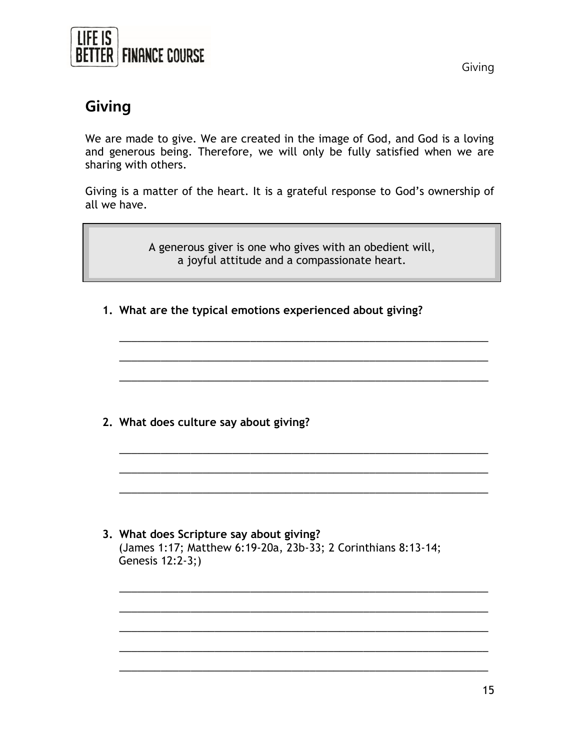

Giving

# **Giving**

We are made to give. We are created in the image of God, and God is a loving and generous being. Therefore, we will only be fully satisfied when we are sharing with others.

Giving is a matter of the heart. It is a grateful response to God's ownership of all we have.

| A generous giver is one who gives with an obedient will, |
|----------------------------------------------------------|
| a joyful attitude and a compassionate heart.             |

\_\_\_\_\_\_\_\_\_\_\_\_\_\_\_\_\_\_\_\_\_\_\_\_\_\_\_\_\_\_\_\_\_\_\_\_\_\_\_\_\_\_\_\_\_\_\_\_\_\_\_\_\_\_\_\_\_\_\_\_\_\_

\_\_\_\_\_\_\_\_\_\_\_\_\_\_\_\_\_\_\_\_\_\_\_\_\_\_\_\_\_\_\_\_\_\_\_\_\_\_\_\_\_\_\_\_\_\_\_\_\_\_\_\_\_\_\_\_\_\_\_\_\_\_

\_\_\_\_\_\_\_\_\_\_\_\_\_\_\_\_\_\_\_\_\_\_\_\_\_\_\_\_\_\_\_\_\_\_\_\_\_\_\_\_\_\_\_\_\_\_\_\_\_\_\_\_\_\_\_\_\_\_\_\_\_\_

\_\_\_\_\_\_\_\_\_\_\_\_\_\_\_\_\_\_\_\_\_\_\_\_\_\_\_\_\_\_\_\_\_\_\_\_\_\_\_\_\_\_\_\_\_\_\_\_\_\_\_\_\_\_\_\_\_\_\_\_\_\_

\_\_\_\_\_\_\_\_\_\_\_\_\_\_\_\_\_\_\_\_\_\_\_\_\_\_\_\_\_\_\_\_\_\_\_\_\_\_\_\_\_\_\_\_\_\_\_\_\_\_\_\_\_\_\_\_\_\_\_\_\_\_

\_\_\_\_\_\_\_\_\_\_\_\_\_\_\_\_\_\_\_\_\_\_\_\_\_\_\_\_\_\_\_\_\_\_\_\_\_\_\_\_\_\_\_\_\_\_\_\_\_\_\_\_\_\_\_\_\_\_\_\_\_\_

\_\_\_\_\_\_\_\_\_\_\_\_\_\_\_\_\_\_\_\_\_\_\_\_\_\_\_\_\_\_\_\_\_\_\_\_\_\_\_\_\_\_\_\_\_\_\_\_\_\_\_\_\_\_\_\_\_\_\_\_\_\_

\_\_\_\_\_\_\_\_\_\_\_\_\_\_\_\_\_\_\_\_\_\_\_\_\_\_\_\_\_\_\_\_\_\_\_\_\_\_\_\_\_\_\_\_\_\_\_\_\_\_\_\_\_\_\_\_\_\_\_\_\_\_

\_\_\_\_\_\_\_\_\_\_\_\_\_\_\_\_\_\_\_\_\_\_\_\_\_\_\_\_\_\_\_\_\_\_\_\_\_\_\_\_\_\_\_\_\_\_\_\_\_\_\_\_\_\_\_\_\_\_\_\_\_\_

\_\_\_\_\_\_\_\_\_\_\_\_\_\_\_\_\_\_\_\_\_\_\_\_\_\_\_\_\_\_\_\_\_\_\_\_\_\_\_\_\_\_\_\_\_\_\_\_\_\_\_\_\_\_\_\_\_\_\_\_\_\_

\_\_\_\_\_\_\_\_\_\_\_\_\_\_\_\_\_\_\_\_\_\_\_\_\_\_\_\_\_\_\_\_\_\_\_\_\_\_\_\_\_\_\_\_\_\_\_\_\_\_\_\_\_\_\_\_\_\_\_\_\_\_

**1. What are the typical emotions experienced about giving?**

**2. What does culture say about giving?**

**3. What does Scripture say about giving?** (James 1:17; Matthew 6:19-20a, 23b-33; 2 Corinthians 8:13-14; Genesis 12:2-3;)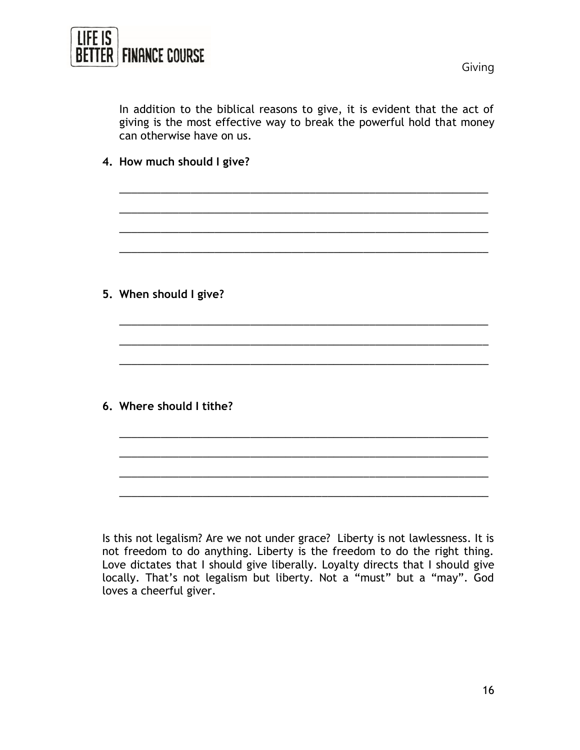

Giving

In addition to the biblical reasons to give, it is evident that the act of giving is the most effective way to break the powerful hold that money can otherwise have on us.

\_\_\_\_\_\_\_\_\_\_\_\_\_\_\_\_\_\_\_\_\_\_\_\_\_\_\_\_\_\_\_\_\_\_\_\_\_\_\_\_\_\_\_\_\_\_\_\_\_\_\_\_\_\_\_\_\_\_\_\_\_\_

\_\_\_\_\_\_\_\_\_\_\_\_\_\_\_\_\_\_\_\_\_\_\_\_\_\_\_\_\_\_\_\_\_\_\_\_\_\_\_\_\_\_\_\_\_\_\_\_\_\_\_\_\_\_\_\_\_\_\_\_\_\_

\_\_\_\_\_\_\_\_\_\_\_\_\_\_\_\_\_\_\_\_\_\_\_\_\_\_\_\_\_\_\_\_\_\_\_\_\_\_\_\_\_\_\_\_\_\_\_\_\_\_\_\_\_\_\_\_\_\_\_\_\_\_

\_\_\_\_\_\_\_\_\_\_\_\_\_\_\_\_\_\_\_\_\_\_\_\_\_\_\_\_\_\_\_\_\_\_\_\_\_\_\_\_\_\_\_\_\_\_\_\_\_\_\_\_\_\_\_\_\_\_\_\_\_\_

\_\_\_\_\_\_\_\_\_\_\_\_\_\_\_\_\_\_\_\_\_\_\_\_\_\_\_\_\_\_\_\_\_\_\_\_\_\_\_\_\_\_\_\_\_\_\_\_\_\_\_\_\_\_\_\_\_\_\_\_\_\_

\_\_\_\_\_\_\_\_\_\_\_\_\_\_\_\_\_\_\_\_\_\_\_\_\_\_\_\_\_\_\_\_\_\_\_\_\_\_\_\_\_\_\_\_\_\_\_\_\_\_\_\_\_\_\_\_\_\_\_\_\_\_

\_\_\_\_\_\_\_\_\_\_\_\_\_\_\_\_\_\_\_\_\_\_\_\_\_\_\_\_\_\_\_\_\_\_\_\_\_\_\_\_\_\_\_\_\_\_\_\_\_\_\_\_\_\_\_\_\_\_\_\_\_\_

\_\_\_\_\_\_\_\_\_\_\_\_\_\_\_\_\_\_\_\_\_\_\_\_\_\_\_\_\_\_\_\_\_\_\_\_\_\_\_\_\_\_\_\_\_\_\_\_\_\_\_\_\_\_\_\_\_\_\_\_\_\_

\_\_\_\_\_\_\_\_\_\_\_\_\_\_\_\_\_\_\_\_\_\_\_\_\_\_\_\_\_\_\_\_\_\_\_\_\_\_\_\_\_\_\_\_\_\_\_\_\_\_\_\_\_\_\_\_\_\_\_\_\_\_

\_\_\_\_\_\_\_\_\_\_\_\_\_\_\_\_\_\_\_\_\_\_\_\_\_\_\_\_\_\_\_\_\_\_\_\_\_\_\_\_\_\_\_\_\_\_\_\_\_\_\_\_\_\_\_\_\_\_\_\_\_\_

\_\_\_\_\_\_\_\_\_\_\_\_\_\_\_\_\_\_\_\_\_\_\_\_\_\_\_\_\_\_\_\_\_\_\_\_\_\_\_\_\_\_\_\_\_\_\_\_\_\_\_\_\_\_\_\_\_\_\_\_\_\_

**4. How much should I give?**

**5. When should I give?**

**6. Where should I tithe?**

Is this not legalism? Are we not under grace? Liberty is not lawlessness. It is not freedom to do anything. Liberty is the freedom to do the right thing. Love dictates that I should give liberally. Loyalty directs that I should give locally. That's not legalism but liberty. Not a "must" but a "may". God loves a cheerful giver.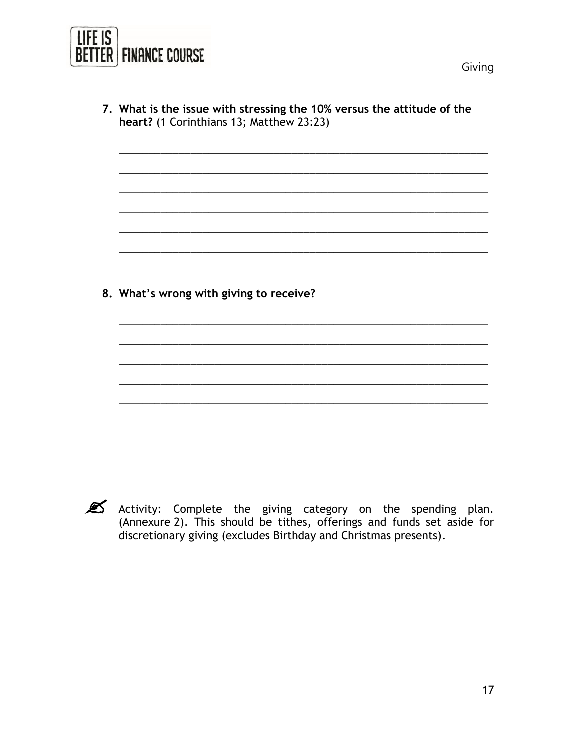# LIFE IS **BETTER | FINANCE COURSE**

7. What is the issue with stressing the 10% versus the attitude of the heart? (1 Corinthians 13; Matthew 23:23)

8. What's wrong with giving to receive?



Activity: Complete the giving category on the spending plan.<br>(Annexure 2). This should be tithes, offerings and funds set aside for discretionary giving (excludes Birthday and Christmas presents).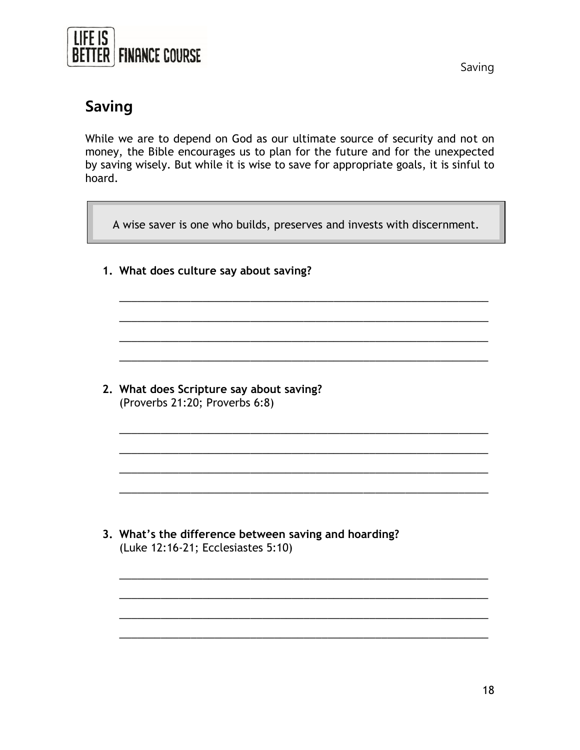

Saving

# **Saving**

While we are to depend on God as our ultimate source of security and not on money, the Bible encourages us to plan for the future and for the unexpected by saving wisely. But while it is wise to save for appropriate goals, it is sinful to hoard.

A wise saver is one who builds, preserves and invests with discernment.

\_\_\_\_\_\_\_\_\_\_\_\_\_\_\_\_\_\_\_\_\_\_\_\_\_\_\_\_\_\_\_\_\_\_\_\_\_\_\_\_\_\_\_\_\_\_\_\_\_\_\_\_\_\_\_\_\_\_\_\_\_\_

\_\_\_\_\_\_\_\_\_\_\_\_\_\_\_\_\_\_\_\_\_\_\_\_\_\_\_\_\_\_\_\_\_\_\_\_\_\_\_\_\_\_\_\_\_\_\_\_\_\_\_\_\_\_\_\_\_\_\_\_\_\_

\_\_\_\_\_\_\_\_\_\_\_\_\_\_\_\_\_\_\_\_\_\_\_\_\_\_\_\_\_\_\_\_\_\_\_\_\_\_\_\_\_\_\_\_\_\_\_\_\_\_\_\_\_\_\_\_\_\_\_\_\_\_

\_\_\_\_\_\_\_\_\_\_\_\_\_\_\_\_\_\_\_\_\_\_\_\_\_\_\_\_\_\_\_\_\_\_\_\_\_\_\_\_\_\_\_\_\_\_\_\_\_\_\_\_\_\_\_\_\_\_\_\_\_\_

\_\_\_\_\_\_\_\_\_\_\_\_\_\_\_\_\_\_\_\_\_\_\_\_\_\_\_\_\_\_\_\_\_\_\_\_\_\_\_\_\_\_\_\_\_\_\_\_\_\_\_\_\_\_\_\_\_\_\_\_\_\_

\_\_\_\_\_\_\_\_\_\_\_\_\_\_\_\_\_\_\_\_\_\_\_\_\_\_\_\_\_\_\_\_\_\_\_\_\_\_\_\_\_\_\_\_\_\_\_\_\_\_\_\_\_\_\_\_\_\_\_\_\_\_

\_\_\_\_\_\_\_\_\_\_\_\_\_\_\_\_\_\_\_\_\_\_\_\_\_\_\_\_\_\_\_\_\_\_\_\_\_\_\_\_\_\_\_\_\_\_\_\_\_\_\_\_\_\_\_\_\_\_\_\_\_\_

\_\_\_\_\_\_\_\_\_\_\_\_\_\_\_\_\_\_\_\_\_\_\_\_\_\_\_\_\_\_\_\_\_\_\_\_\_\_\_\_\_\_\_\_\_\_\_\_\_\_\_\_\_\_\_\_\_\_\_\_\_\_

\_\_\_\_\_\_\_\_\_\_\_\_\_\_\_\_\_\_\_\_\_\_\_\_\_\_\_\_\_\_\_\_\_\_\_\_\_\_\_\_\_\_\_\_\_\_\_\_\_\_\_\_\_\_\_\_\_\_\_\_\_\_

\_\_\_\_\_\_\_\_\_\_\_\_\_\_\_\_\_\_\_\_\_\_\_\_\_\_\_\_\_\_\_\_\_\_\_\_\_\_\_\_\_\_\_\_\_\_\_\_\_\_\_\_\_\_\_\_\_\_\_\_\_\_

\_\_\_\_\_\_\_\_\_\_\_\_\_\_\_\_\_\_\_\_\_\_\_\_\_\_\_\_\_\_\_\_\_\_\_\_\_\_\_\_\_\_\_\_\_\_\_\_\_\_\_\_\_\_\_\_\_\_\_\_\_\_

\_\_\_\_\_\_\_\_\_\_\_\_\_\_\_\_\_\_\_\_\_\_\_\_\_\_\_\_\_\_\_\_\_\_\_\_\_\_\_\_\_\_\_\_\_\_\_\_\_\_\_\_\_\_\_\_\_\_\_\_\_\_

**1. What does culture say about saving?**

**2. What does Scripture say about saving?** (Proverbs 21:20; Proverbs 6:8)

**3. What's the difference between saving and hoarding?** (Luke 12:16-21; Ecclesiastes 5:10)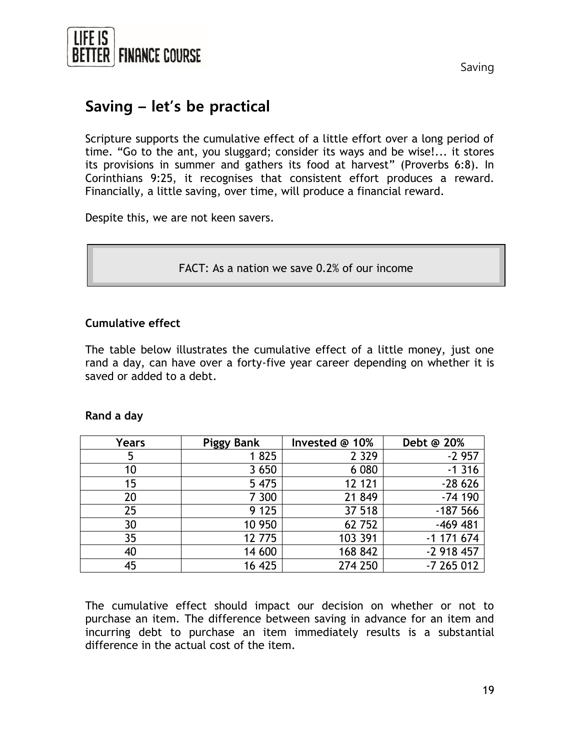

# **Saving – let's be practical**

Scripture supports the cumulative effect of a little effort over a long period of time. "Go to the ant, you sluggard; consider its ways and be wise!... it stores its provisions in summer and gathers its food at harvest" (Proverbs 6:8). In Corinthians 9:25, it recognises that consistent effort produces a reward. Financially, a little saving, over time, will produce a financial reward.

Despite this, we are not keen savers.

FACT: As a nation we save 0.2% of our income

# **Cumulative effect**

The table below illustrates the cumulative effect of a little money, just one rand a day, can have over a forty-five year career depending on whether it is saved or added to a debt.

| <b>Years</b> | <b>Piggy Bank</b> | Invested @ 10% | Debt @ 20%   |
|--------------|-------------------|----------------|--------------|
| 5            | 1825              | 2 3 2 9        | $-2957$      |
| 10           | 3 6 5 0           | 6 0 8 0        | $-1316$      |
| 15           | 5 4 7 5           | 12 121         | $-28626$     |
| 20           | 7 300             | 21 849         | $-74190$     |
| 25           | 9 1 2 5           | 37 518         | $-187566$    |
| 30           | 10 950            | 62 752         | $-469481$    |
| 35           | 12 775            | 103 391        | $-1$ 171 674 |
| 40           | 14 600            | 168 842        | -2 918 457   |
| 45           | 16 425            | 274 250        | $-7265012$   |

The cumulative effect should impact our decision on whether or not to purchase an item. The difference between saving in advance for an item and incurring debt to purchase an item immediately results is a substantial difference in the actual cost of the item.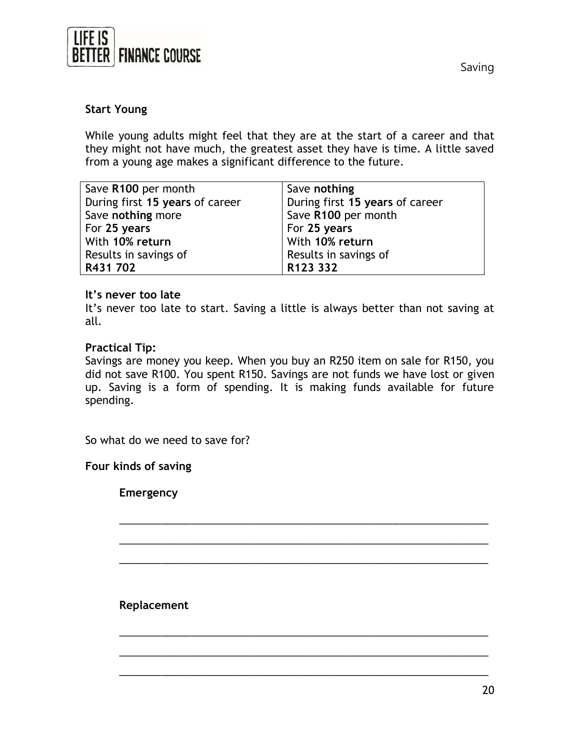

## **Start Young**

While young adults might feel that they are at the start of a career and that they might not have much, the greatest asset they have is time. A little saved from a young age makes a significant difference to the future.

| Save R100 per month             | Save nothing                    |
|---------------------------------|---------------------------------|
| During first 15 years of career | During first 15 years of career |
| Save nothing more               | Save R100 per month             |
| For 25 years                    | For 25 years                    |
| With 10% return                 | With 10% return                 |
| Results in savings of           | Results in savings of           |
| R431 702                        | R123 332                        |

### **It's never too late**

It's never too late to start. Saving a little is always better than not saving at all.

### **Practical Tip:**

Savings are money you keep. When you buy an R250 item on sale for R150, you did not save R100. You spent R150. Savings are not funds we have lost or given up. Saving is a form of spending. It is making funds available for future spending.

\_\_\_\_\_\_\_\_\_\_\_\_\_\_\_\_\_\_\_\_\_\_\_\_\_\_\_\_\_\_\_\_\_\_\_\_\_\_\_\_\_\_\_\_\_\_\_\_\_\_\_\_\_\_\_\_\_\_\_\_\_\_

\_\_\_\_\_\_\_\_\_\_\_\_\_\_\_\_\_\_\_\_\_\_\_\_\_\_\_\_\_\_\_\_\_\_\_\_\_\_\_\_\_\_\_\_\_\_\_\_\_\_\_\_\_\_\_\_\_\_\_\_\_\_

\_\_\_\_\_\_\_\_\_\_\_\_\_\_\_\_\_\_\_\_\_\_\_\_\_\_\_\_\_\_\_\_\_\_\_\_\_\_\_\_\_\_\_\_\_\_\_\_\_\_\_\_\_\_\_\_\_\_\_\_\_\_

\_\_\_\_\_\_\_\_\_\_\_\_\_\_\_\_\_\_\_\_\_\_\_\_\_\_\_\_\_\_\_\_\_\_\_\_\_\_\_\_\_\_\_\_\_\_\_\_\_\_\_\_\_\_\_\_\_\_\_\_\_\_

\_\_\_\_\_\_\_\_\_\_\_\_\_\_\_\_\_\_\_\_\_\_\_\_\_\_\_\_\_\_\_\_\_\_\_\_\_\_\_\_\_\_\_\_\_\_\_\_\_\_\_\_\_\_\_\_\_\_\_\_\_\_

\_\_\_\_\_\_\_\_\_\_\_\_\_\_\_\_\_\_\_\_\_\_\_\_\_\_\_\_\_\_\_\_\_\_\_\_\_\_\_\_\_\_\_\_\_\_\_\_\_\_\_\_\_\_\_\_\_\_\_\_\_\_

So what do we need to save for?

**Four kinds of saving**

**Emergency**

**Replacement**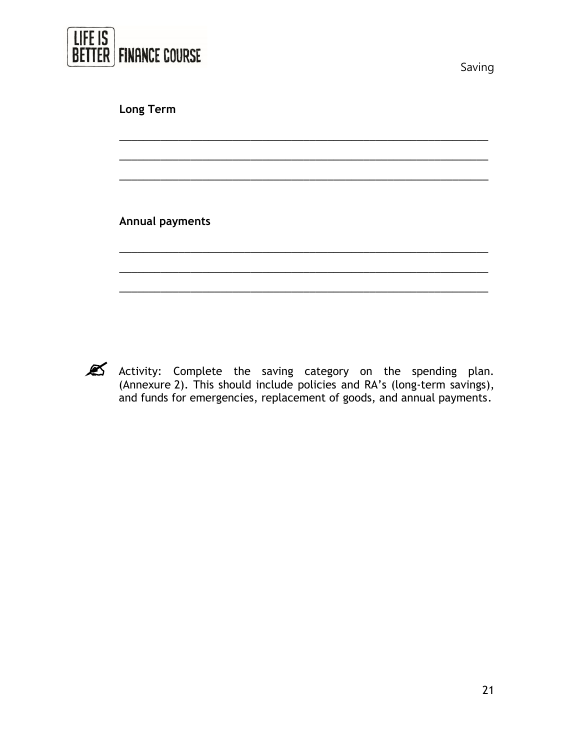

Saving

| <b>Annual payments</b> |  |
|------------------------|--|
|                        |  |



Activity: Complete the saving category on the spending plan. (Annexure 2). This should include policies and RA's (long-term savings), and funds for emergencies, replacement of goods, and annual payments.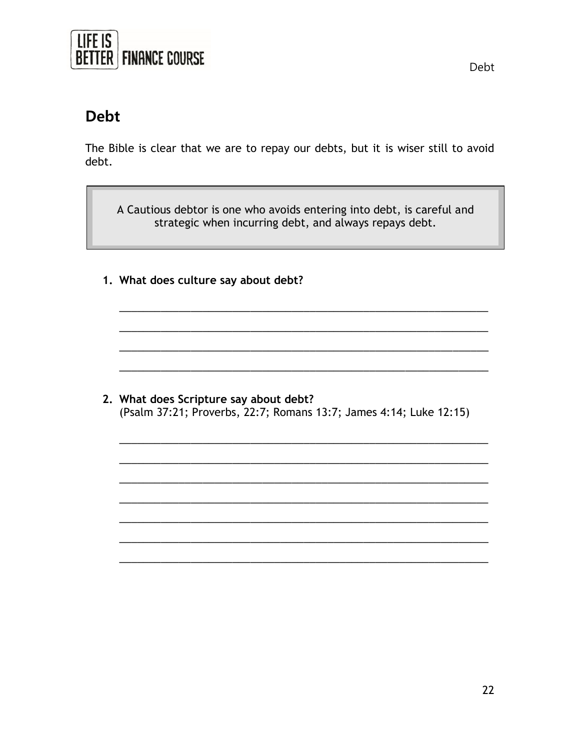

# **Debt**

The Bible is clear that we are to repay our debts, but it is wiser still to avoid debt.

A Cautious debtor is one who avoids entering into debt, is careful and strategic when incurring debt, and always repays debt.

1. What does culture say about debt?

2. What does Scripture say about debt? (Psalm 37:21; Proverbs, 22:7; Romans 13:7; James 4:14; Luke 12:15)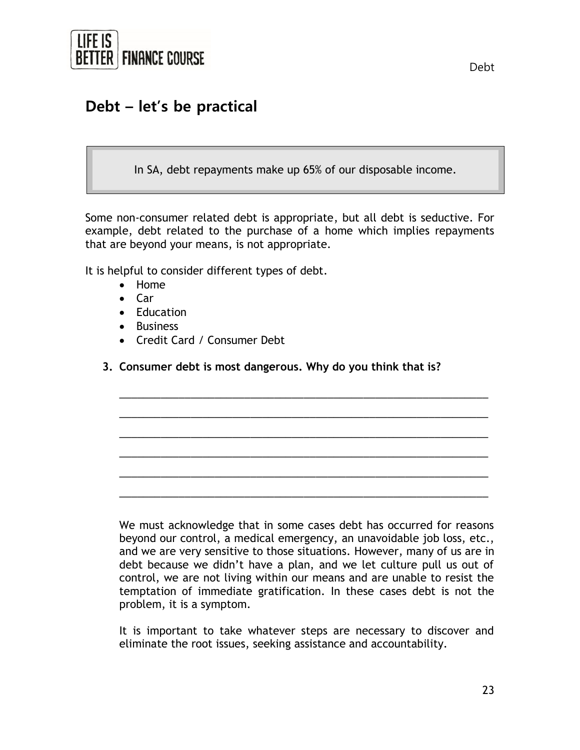

# **Debt – let's be practical**

In SA, debt repayments make up 65% of our disposable income.

Some non-consumer related debt is appropriate, but all debt is seductive. For example, debt related to the purchase of a home which implies repayments that are beyond your means, is not appropriate.

It is helpful to consider different types of debt.

- Home
- Car
- Education
- Business
- Credit Card / Consumer Debt
- **3. Consumer debt is most dangerous. Why do you think that is?**

\_\_\_\_\_\_\_\_\_\_\_\_\_\_\_\_\_\_\_\_\_\_\_\_\_\_\_\_\_\_\_\_\_\_\_\_\_\_\_\_\_\_\_\_\_\_\_\_\_\_\_\_\_\_\_\_\_\_\_\_\_\_

\_\_\_\_\_\_\_\_\_\_\_\_\_\_\_\_\_\_\_\_\_\_\_\_\_\_\_\_\_\_\_\_\_\_\_\_\_\_\_\_\_\_\_\_\_\_\_\_\_\_\_\_\_\_\_\_\_\_\_\_\_\_

\_\_\_\_\_\_\_\_\_\_\_\_\_\_\_\_\_\_\_\_\_\_\_\_\_\_\_\_\_\_\_\_\_\_\_\_\_\_\_\_\_\_\_\_\_\_\_\_\_\_\_\_\_\_\_\_\_\_\_\_\_\_

\_\_\_\_\_\_\_\_\_\_\_\_\_\_\_\_\_\_\_\_\_\_\_\_\_\_\_\_\_\_\_\_\_\_\_\_\_\_\_\_\_\_\_\_\_\_\_\_\_\_\_\_\_\_\_\_\_\_\_\_\_\_

\_\_\_\_\_\_\_\_\_\_\_\_\_\_\_\_\_\_\_\_\_\_\_\_\_\_\_\_\_\_\_\_\_\_\_\_\_\_\_\_\_\_\_\_\_\_\_\_\_\_\_\_\_\_\_\_\_\_\_\_\_\_

\_\_\_\_\_\_\_\_\_\_\_\_\_\_\_\_\_\_\_\_\_\_\_\_\_\_\_\_\_\_\_\_\_\_\_\_\_\_\_\_\_\_\_\_\_\_\_\_\_\_\_\_\_\_\_\_\_\_\_\_\_\_

We must acknowledge that in some cases debt has occurred for reasons beyond our control, a medical emergency, an unavoidable job loss, etc., and we are very sensitive to those situations. However, many of us are in debt because we didn't have a plan, and we let culture pull us out of control, we are not living within our means and are unable to resist the temptation of immediate gratification. In these cases debt is not the problem, it is a symptom.

It is important to take whatever steps are necessary to discover and eliminate the root issues, seeking assistance and accountability.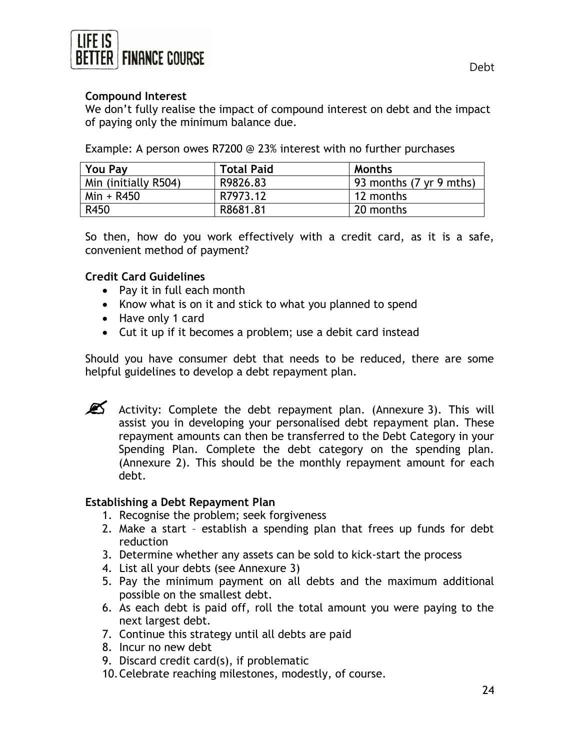

## **Compound Interest**

We don't fully realise the impact of compound interest on debt and the impact of paying only the minimum balance due.

Example: A person owes R7200 @ 23% interest with no further purchases

| <b>You Pay</b>       | <b>Total Paid</b> | <b>Months</b>                              |
|----------------------|-------------------|--------------------------------------------|
| Min (initially R504) | R9826.83          | 93 months $(7 \text{ yr } 9 \text{ mths})$ |
| Min + R450           | R7973.12          | 12 months                                  |
| R450                 | R8681.81          | 20 months                                  |

So then, how do you work effectively with a credit card, as it is a safe, convenient method of payment?

# **Credit Card Guidelines**

- Pay it in full each month
- Know what is on it and stick to what you planned to spend
- Have only 1 card
- Cut it up if it becomes a problem; use a debit card instead

Should you have consumer debt that needs to be reduced, there are some helpful guidelines to develop a debt repayment plan.

### **Establishing a Debt Repayment Plan**

- 1. Recognise the problem; seek forgiveness
- 2. Make a start establish a spending plan that frees up funds for debt reduction
- 3. Determine whether any assets can be sold to kick-start the process
- 4. List all your debts (see Annexure 3)
- 5. Pay the minimum payment on all debts and the maximum additional possible on the smallest debt.
- 6. As each debt is paid off, roll the total amount you were paying to the next largest debt.
- 7. Continue this strategy until all debts are paid
- 8. Incur no new debt
- 9. Discard credit card(s), if problematic
- 10.Celebrate reaching milestones, modestly, of course.

Activity: Complete the debt repayment plan. (Annexure 3). This will assist you in developing your personalised debt repayment plan. These repayment amounts can then be transferred to the Debt Category in your Spending Plan. Complete the debt category on the spending plan. (Annexure 2). This should be the monthly repayment amount for each debt.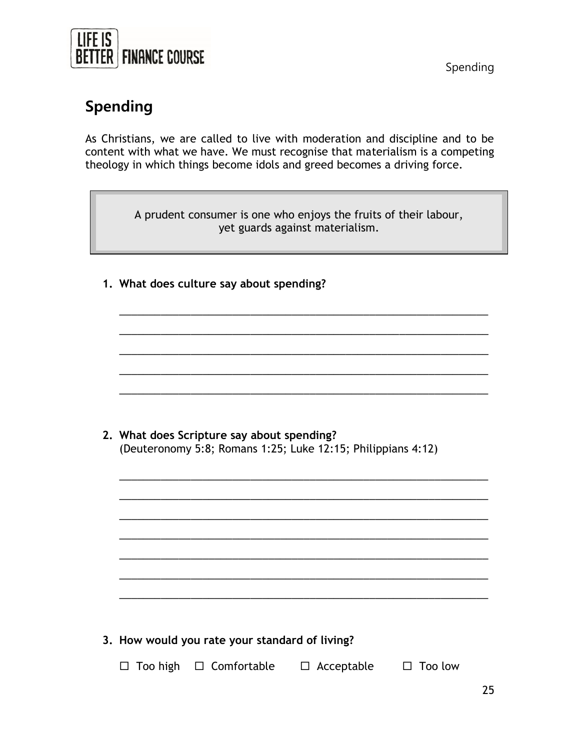

# **Spending**

As Christians, we are called to live with moderation and discipline and to be content with what we have. We must recognise that materialism is a competing theology in which things become idols and greed becomes a driving force.

> A prudent consumer is one who enjoys the fruits of their labour, yet guards against materialism.

\_\_\_\_\_\_\_\_\_\_\_\_\_\_\_\_\_\_\_\_\_\_\_\_\_\_\_\_\_\_\_\_\_\_\_\_\_\_\_\_\_\_\_\_\_\_\_\_\_\_\_\_\_\_\_\_\_\_\_\_\_\_

\_\_\_\_\_\_\_\_\_\_\_\_\_\_\_\_\_\_\_\_\_\_\_\_\_\_\_\_\_\_\_\_\_\_\_\_\_\_\_\_\_\_\_\_\_\_\_\_\_\_\_\_\_\_\_\_\_\_\_\_\_\_

\_\_\_\_\_\_\_\_\_\_\_\_\_\_\_\_\_\_\_\_\_\_\_\_\_\_\_\_\_\_\_\_\_\_\_\_\_\_\_\_\_\_\_\_\_\_\_\_\_\_\_\_\_\_\_\_\_\_\_\_\_\_

\_\_\_\_\_\_\_\_\_\_\_\_\_\_\_\_\_\_\_\_\_\_\_\_\_\_\_\_\_\_\_\_\_\_\_\_\_\_\_\_\_\_\_\_\_\_\_\_\_\_\_\_\_\_\_\_\_\_\_\_\_\_

\_\_\_\_\_\_\_\_\_\_\_\_\_\_\_\_\_\_\_\_\_\_\_\_\_\_\_\_\_\_\_\_\_\_\_\_\_\_\_\_\_\_\_\_\_\_\_\_\_\_\_\_\_\_\_\_\_\_\_\_\_\_

**1. What does culture say about spending?**

- **2. What does Scripture say about spending?** (Deuteronomy 5:8; Romans 1:25; Luke 12:15; Philippians 4:12)
- \_\_\_\_\_\_\_\_\_\_\_\_\_\_\_\_\_\_\_\_\_\_\_\_\_\_\_\_\_\_\_\_\_\_\_\_\_\_\_\_\_\_\_\_\_\_\_\_\_\_\_\_\_\_\_\_\_\_\_\_\_\_ \_\_\_\_\_\_\_\_\_\_\_\_\_\_\_\_\_\_\_\_\_\_\_\_\_\_\_\_\_\_\_\_\_\_\_\_\_\_\_\_\_\_\_\_\_\_\_\_\_\_\_\_\_\_\_\_\_\_\_\_\_\_ \_\_\_\_\_\_\_\_\_\_\_\_\_\_\_\_\_\_\_\_\_\_\_\_\_\_\_\_\_\_\_\_\_\_\_\_\_\_\_\_\_\_\_\_\_\_\_\_\_\_\_\_\_\_\_\_\_\_\_\_\_\_ \_\_\_\_\_\_\_\_\_\_\_\_\_\_\_\_\_\_\_\_\_\_\_\_\_\_\_\_\_\_\_\_\_\_\_\_\_\_\_\_\_\_\_\_\_\_\_\_\_\_\_\_\_\_\_\_\_\_\_\_\_\_ \_\_\_\_\_\_\_\_\_\_\_\_\_\_\_\_\_\_\_\_\_\_\_\_\_\_\_\_\_\_\_\_\_\_\_\_\_\_\_\_\_\_\_\_\_\_\_\_\_\_\_\_\_\_\_\_\_\_\_\_\_\_ \_\_\_\_\_\_\_\_\_\_\_\_\_\_\_\_\_\_\_\_\_\_\_\_\_\_\_\_\_\_\_\_\_\_\_\_\_\_\_\_\_\_\_\_\_\_\_\_\_\_\_\_\_\_\_\_\_\_\_\_\_\_ \_\_\_\_\_\_\_\_\_\_\_\_\_\_\_\_\_\_\_\_\_\_\_\_\_\_\_\_\_\_\_\_\_\_\_\_\_\_\_\_\_\_\_\_\_\_\_\_\_\_\_\_\_\_\_\_\_\_\_\_\_\_ **3. How would you rate your standard of living?**  $\Box$  Too high  $\Box$  Comfortable  $\Box$  Acceptable  $\Box$  Too low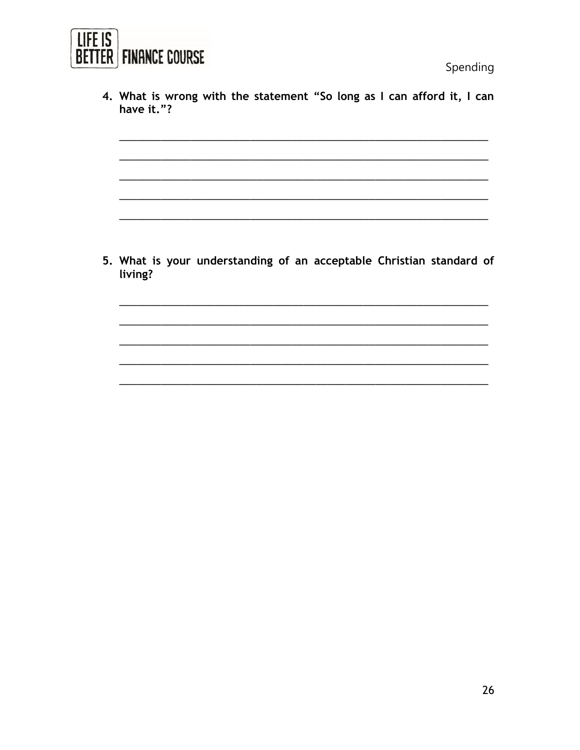

4. What is wrong with the statement "So long as I can afford it, I can have it."?

5. What is your understanding of an acceptable Christian standard of living?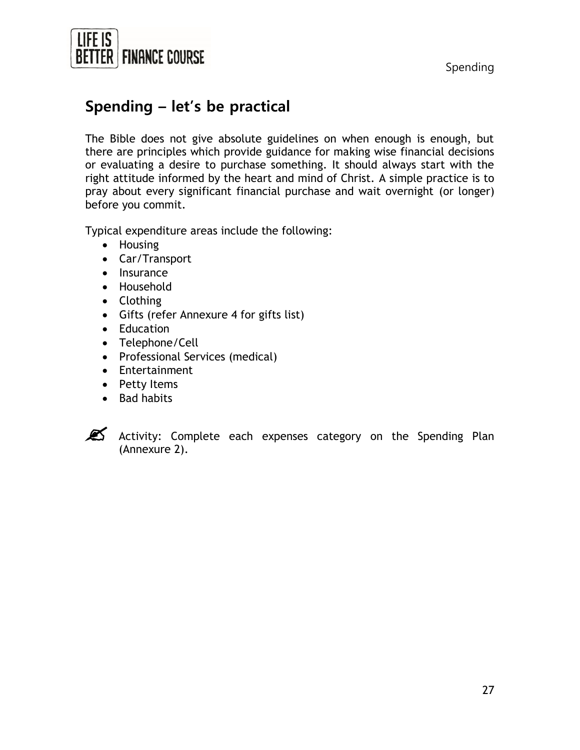

# **Spending – let's be practical**

The Bible does not give absolute guidelines on when enough is enough, but there are principles which provide guidance for making wise financial decisions or evaluating a desire to purchase something. It should always start with the right attitude informed by the heart and mind of Christ. A simple practice is to pray about every significant financial purchase and wait overnight (or longer) before you commit.

Typical expenditure areas include the following:

- Housing
- Car/Transport
- Insurance
- Household
- Clothing
- Gifts (refer Annexure 4 for gifts list)
- Education
- Telephone/Cell
- Professional Services (medical)
- Entertainment
- Petty Items
- Bad habits



 $\mathcal{L}$  Activity: Complete each expenses category on the Spending Plan (Annexure 2).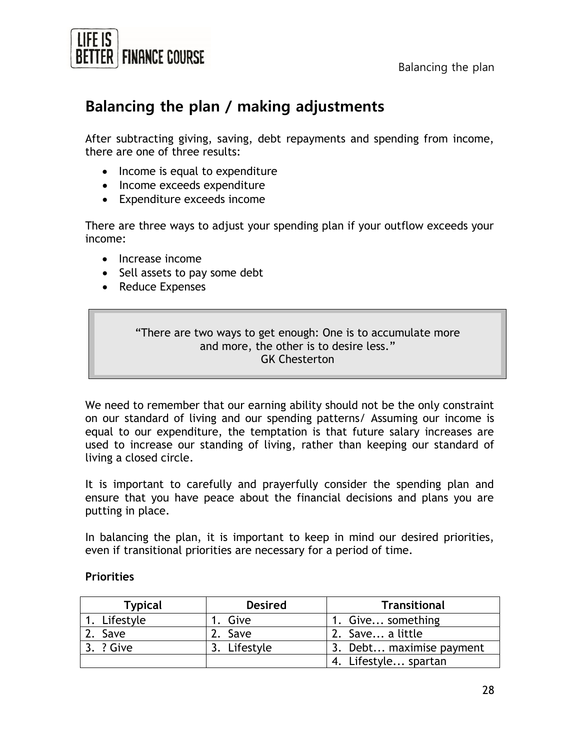Balancing the plan



# **Balancing the plan / making adjustments**

After subtracting giving, saving, debt repayments and spending from income, there are one of three results:

- Income is equal to expenditure
- Income exceeds expenditure
- Expenditure exceeds income

There are three ways to adjust your spending plan if your outflow exceeds your income:

- Increase income
- Sell assets to pay some debt
- Reduce Expenses

# "There are two ways to get enough: One is to accumulate more and more, the other is to desire less." GK Chesterton

We need to remember that our earning ability should not be the only constraint on our standard of living and our spending patterns/ Assuming our income is equal to our expenditure, the temptation is that future salary increases are used to increase our standing of living, rather than keeping our standard of living a closed circle.

It is important to carefully and prayerfully consider the spending plan and ensure that you have peace about the financial decisions and plans you are putting in place.

In balancing the plan, it is important to keep in mind our desired priorities, even if transitional priorities are necessary for a period of time.

| <b>Typical</b> | <b>Desired</b> | <b>Transitional</b>      |
|----------------|----------------|--------------------------|
| 1. Lifestyle   | 1. Give        | 1. Give something        |
| 2. Save        | 2. Save        | 2. Save a little         |
| $3.$ ? Give    | 3. Lifestyle   | 3. Debt maximise payment |
|                |                | 4. Lifestyle spartan     |

### **Priorities**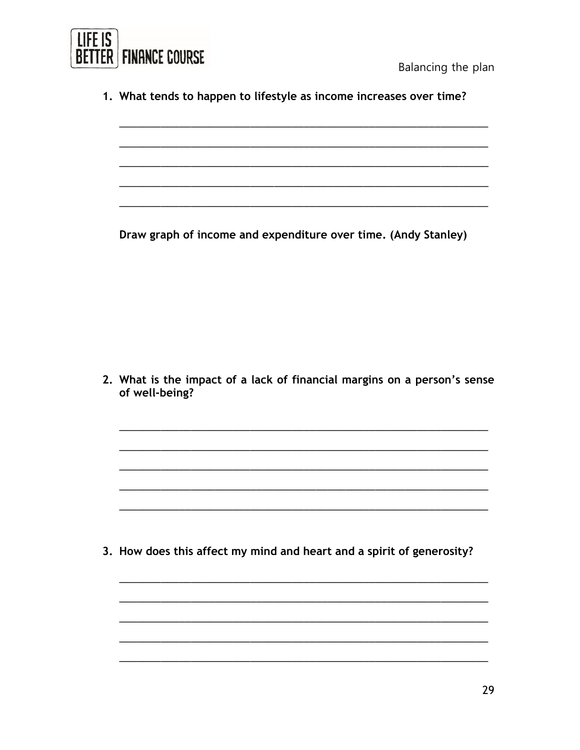Balancing the plan



1. What tends to happen to lifestyle as income increases over time?

Draw graph of income and expenditure over time. (Andy Stanley)

2. What is the impact of a lack of financial margins on a person's sense of well-being?

3. How does this affect my mind and heart and a spirit of generosity?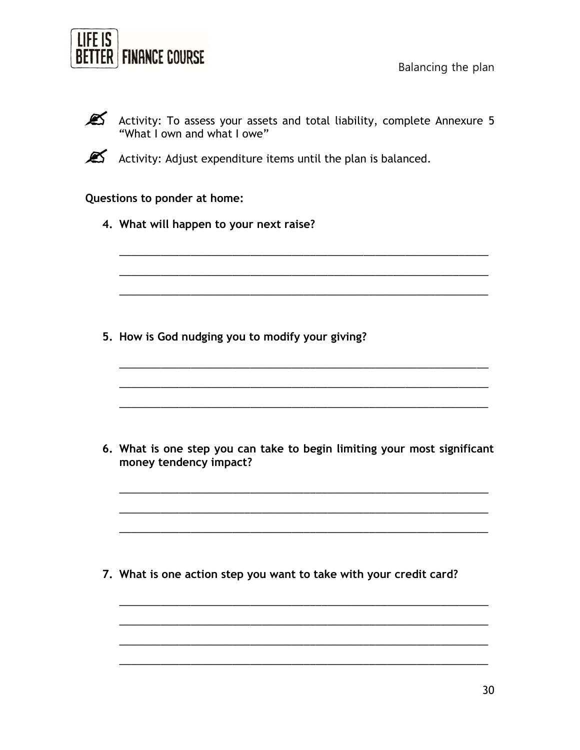

Balancing the plan



Activity: To assess your assets and total liability, complete Annexure 5 "What I own and what I owe"

\_\_\_\_\_\_\_\_\_\_\_\_\_\_\_\_\_\_\_\_\_\_\_\_\_\_\_\_\_\_\_\_\_\_\_\_\_\_\_\_\_\_\_\_\_\_\_\_\_\_\_\_\_\_\_\_\_\_\_\_\_\_

\_\_\_\_\_\_\_\_\_\_\_\_\_\_\_\_\_\_\_\_\_\_\_\_\_\_\_\_\_\_\_\_\_\_\_\_\_\_\_\_\_\_\_\_\_\_\_\_\_\_\_\_\_\_\_\_\_\_\_\_\_\_

\_\_\_\_\_\_\_\_\_\_\_\_\_\_\_\_\_\_\_\_\_\_\_\_\_\_\_\_\_\_\_\_\_\_\_\_\_\_\_\_\_\_\_\_\_\_\_\_\_\_\_\_\_\_\_\_\_\_\_\_\_\_

\_\_\_\_\_\_\_\_\_\_\_\_\_\_\_\_\_\_\_\_\_\_\_\_\_\_\_\_\_\_\_\_\_\_\_\_\_\_\_\_\_\_\_\_\_\_\_\_\_\_\_\_\_\_\_\_\_\_\_\_\_\_

\_\_\_\_\_\_\_\_\_\_\_\_\_\_\_\_\_\_\_\_\_\_\_\_\_\_\_\_\_\_\_\_\_\_\_\_\_\_\_\_\_\_\_\_\_\_\_\_\_\_\_\_\_\_\_\_\_\_\_\_\_\_



Activity: Adjust expenditure items until the plan is balanced.

# **Questions to ponder at home:**

**4. What will happen to your next raise?**

**5. How is God nudging you to modify your giving?**

**6. What is one step you can take to begin limiting your most significant money tendency impact?**

\_\_\_\_\_\_\_\_\_\_\_\_\_\_\_\_\_\_\_\_\_\_\_\_\_\_\_\_\_\_\_\_\_\_\_\_\_\_\_\_\_\_\_\_\_\_\_\_\_\_\_\_\_\_\_\_\_\_\_\_\_\_

\_\_\_\_\_\_\_\_\_\_\_\_\_\_\_\_\_\_\_\_\_\_\_\_\_\_\_\_\_\_\_\_\_\_\_\_\_\_\_\_\_\_\_\_\_\_\_\_\_\_\_\_\_\_\_\_\_\_\_\_\_\_

\_\_\_\_\_\_\_\_\_\_\_\_\_\_\_\_\_\_\_\_\_\_\_\_\_\_\_\_\_\_\_\_\_\_\_\_\_\_\_\_\_\_\_\_\_\_\_\_\_\_\_\_\_\_\_\_\_\_\_\_\_\_

\_\_\_\_\_\_\_\_\_\_\_\_\_\_\_\_\_\_\_\_\_\_\_\_\_\_\_\_\_\_\_\_\_\_\_\_\_\_\_\_\_\_\_\_\_\_\_\_\_\_\_\_\_\_\_\_\_\_\_\_\_\_

\_\_\_\_\_\_\_\_\_\_\_\_\_\_\_\_\_\_\_\_\_\_\_\_\_\_\_\_\_\_\_\_\_\_\_\_\_\_\_\_\_\_\_\_\_\_\_\_\_\_\_\_\_\_\_\_\_\_\_\_\_\_

\_\_\_\_\_\_\_\_\_\_\_\_\_\_\_\_\_\_\_\_\_\_\_\_\_\_\_\_\_\_\_\_\_\_\_\_\_\_\_\_\_\_\_\_\_\_\_\_\_\_\_\_\_\_\_\_\_\_\_\_\_\_

\_\_\_\_\_\_\_\_\_\_\_\_\_\_\_\_\_\_\_\_\_\_\_\_\_\_\_\_\_\_\_\_\_\_\_\_\_\_\_\_\_\_\_\_\_\_\_\_\_\_\_\_\_\_\_\_\_\_\_\_\_\_

**7. What is one action step you want to take with your credit card?**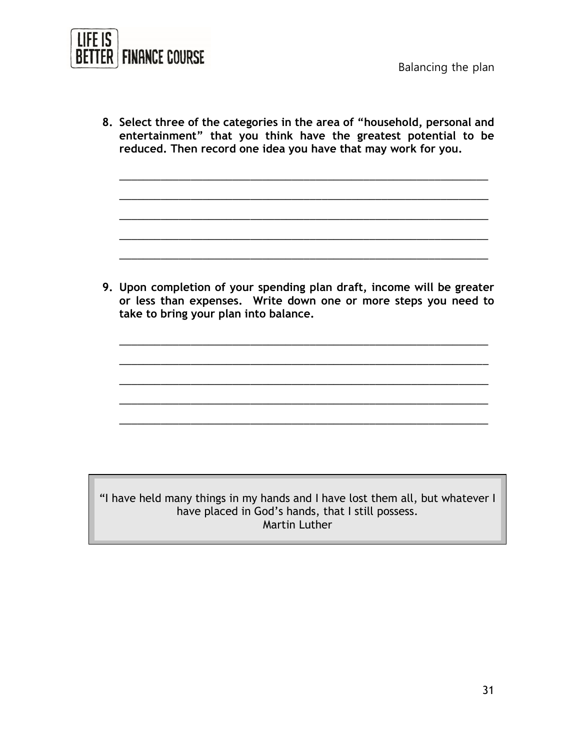



**8. Select three of the categories in the area of "household, personal and entertainment" that you think have the greatest potential to be reduced. Then record one idea you have that may work for you.**

\_\_\_\_\_\_\_\_\_\_\_\_\_\_\_\_\_\_\_\_\_\_\_\_\_\_\_\_\_\_\_\_\_\_\_\_\_\_\_\_\_\_\_\_\_\_\_\_\_\_\_\_\_\_\_\_\_\_\_\_\_\_

\_\_\_\_\_\_\_\_\_\_\_\_\_\_\_\_\_\_\_\_\_\_\_\_\_\_\_\_\_\_\_\_\_\_\_\_\_\_\_\_\_\_\_\_\_\_\_\_\_\_\_\_\_\_\_\_\_\_\_\_\_\_

\_\_\_\_\_\_\_\_\_\_\_\_\_\_\_\_\_\_\_\_\_\_\_\_\_\_\_\_\_\_\_\_\_\_\_\_\_\_\_\_\_\_\_\_\_\_\_\_\_\_\_\_\_\_\_\_\_\_\_\_\_\_

\_\_\_\_\_\_\_\_\_\_\_\_\_\_\_\_\_\_\_\_\_\_\_\_\_\_\_\_\_\_\_\_\_\_\_\_\_\_\_\_\_\_\_\_\_\_\_\_\_\_\_\_\_\_\_\_\_\_\_\_\_\_

\_\_\_\_\_\_\_\_\_\_\_\_\_\_\_\_\_\_\_\_\_\_\_\_\_\_\_\_\_\_\_\_\_\_\_\_\_\_\_\_\_\_\_\_\_\_\_\_\_\_\_\_\_\_\_\_\_\_\_\_\_\_

**9. Upon completion of your spending plan draft, income will be greater or less than expenses. Write down one or more steps you need to take to bring your plan into balance.**

\_\_\_\_\_\_\_\_\_\_\_\_\_\_\_\_\_\_\_\_\_\_\_\_\_\_\_\_\_\_\_\_\_\_\_\_\_\_\_\_\_\_\_\_\_\_\_\_\_\_\_\_\_\_\_\_\_\_\_\_\_\_

\_\_\_\_\_\_\_\_\_\_\_\_\_\_\_\_\_\_\_\_\_\_\_\_\_\_\_\_\_\_\_\_\_\_\_\_\_\_\_\_\_\_\_\_\_\_\_\_\_\_\_\_\_\_\_\_\_\_\_\_\_\_

\_\_\_\_\_\_\_\_\_\_\_\_\_\_\_\_\_\_\_\_\_\_\_\_\_\_\_\_\_\_\_\_\_\_\_\_\_\_\_\_\_\_\_\_\_\_\_\_\_\_\_\_\_\_\_\_\_\_\_\_\_\_

\_\_\_\_\_\_\_\_\_\_\_\_\_\_\_\_\_\_\_\_\_\_\_\_\_\_\_\_\_\_\_\_\_\_\_\_\_\_\_\_\_\_\_\_\_\_\_\_\_\_\_\_\_\_\_\_\_\_\_\_\_\_

\_\_\_\_\_\_\_\_\_\_\_\_\_\_\_\_\_\_\_\_\_\_\_\_\_\_\_\_\_\_\_\_\_\_\_\_\_\_\_\_\_\_\_\_\_\_\_\_\_\_\_\_\_\_\_\_\_\_\_\_\_\_

"I have held many things in my hands and I have lost them all, but whatever I have placed in God's hands, that I still possess. Martin Luther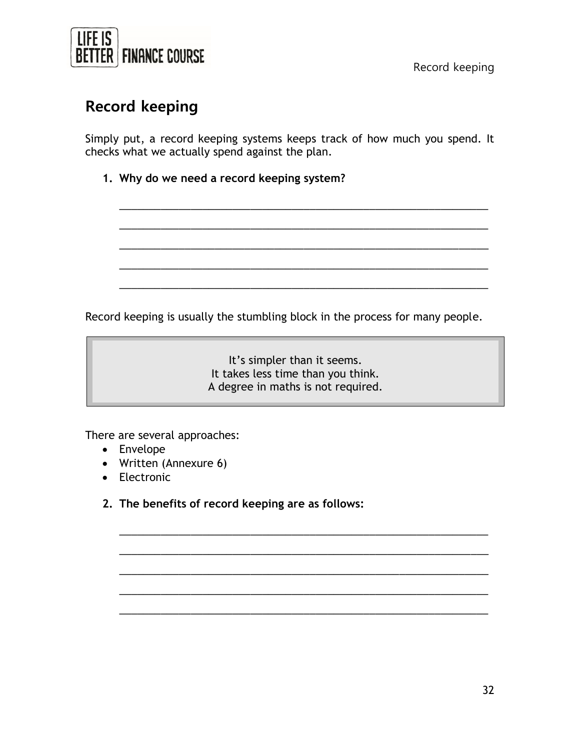

# **Record keeping**

Simply put, a record keeping systems keeps track of how much you spend. It checks what we actually spend against the plan.

\_\_\_\_\_\_\_\_\_\_\_\_\_\_\_\_\_\_\_\_\_\_\_\_\_\_\_\_\_\_\_\_\_\_\_\_\_\_\_\_\_\_\_\_\_\_\_\_\_\_\_\_\_\_\_\_\_\_\_\_\_\_

\_\_\_\_\_\_\_\_\_\_\_\_\_\_\_\_\_\_\_\_\_\_\_\_\_\_\_\_\_\_\_\_\_\_\_\_\_\_\_\_\_\_\_\_\_\_\_\_\_\_\_\_\_\_\_\_\_\_\_\_\_\_

\_\_\_\_\_\_\_\_\_\_\_\_\_\_\_\_\_\_\_\_\_\_\_\_\_\_\_\_\_\_\_\_\_\_\_\_\_\_\_\_\_\_\_\_\_\_\_\_\_\_\_\_\_\_\_\_\_\_\_\_\_\_

\_\_\_\_\_\_\_\_\_\_\_\_\_\_\_\_\_\_\_\_\_\_\_\_\_\_\_\_\_\_\_\_\_\_\_\_\_\_\_\_\_\_\_\_\_\_\_\_\_\_\_\_\_\_\_\_\_\_\_\_\_\_

\_\_\_\_\_\_\_\_\_\_\_\_\_\_\_\_\_\_\_\_\_\_\_\_\_\_\_\_\_\_\_\_\_\_\_\_\_\_\_\_\_\_\_\_\_\_\_\_\_\_\_\_\_\_\_\_\_\_\_\_\_\_

**1. Why do we need a record keeping system?**

Record keeping is usually the stumbling block in the process for many people.

It's simpler than it seems. It takes less time than you think. A degree in maths is not required.

\_\_\_\_\_\_\_\_\_\_\_\_\_\_\_\_\_\_\_\_\_\_\_\_\_\_\_\_\_\_\_\_\_\_\_\_\_\_\_\_\_\_\_\_\_\_\_\_\_\_\_\_\_\_\_\_\_\_\_\_\_\_

\_\_\_\_\_\_\_\_\_\_\_\_\_\_\_\_\_\_\_\_\_\_\_\_\_\_\_\_\_\_\_\_\_\_\_\_\_\_\_\_\_\_\_\_\_\_\_\_\_\_\_\_\_\_\_\_\_\_\_\_\_\_

\_\_\_\_\_\_\_\_\_\_\_\_\_\_\_\_\_\_\_\_\_\_\_\_\_\_\_\_\_\_\_\_\_\_\_\_\_\_\_\_\_\_\_\_\_\_\_\_\_\_\_\_\_\_\_\_\_\_\_\_\_\_

\_\_\_\_\_\_\_\_\_\_\_\_\_\_\_\_\_\_\_\_\_\_\_\_\_\_\_\_\_\_\_\_\_\_\_\_\_\_\_\_\_\_\_\_\_\_\_\_\_\_\_\_\_\_\_\_\_\_\_\_\_\_

\_\_\_\_\_\_\_\_\_\_\_\_\_\_\_\_\_\_\_\_\_\_\_\_\_\_\_\_\_\_\_\_\_\_\_\_\_\_\_\_\_\_\_\_\_\_\_\_\_\_\_\_\_\_\_\_\_\_\_\_\_\_

There are several approaches:

- Envelope
- Written (Annexure 6)
- Electronic
- **2. The benefits of record keeping are as follows:**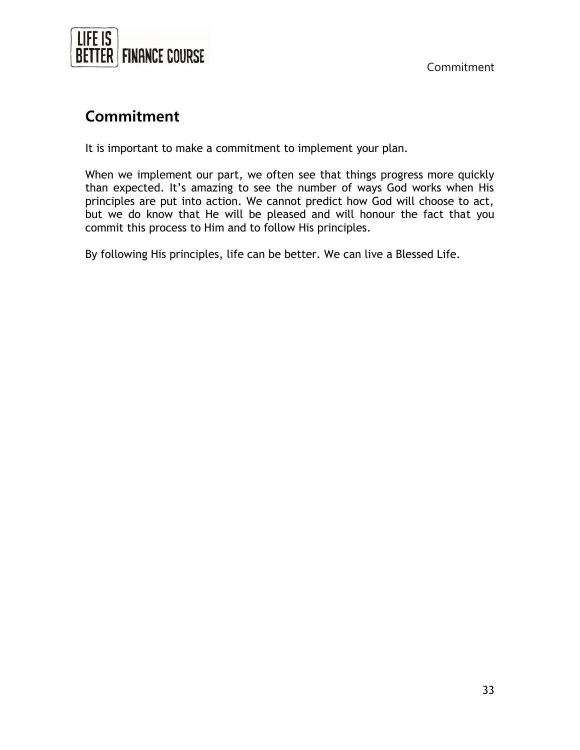

# **Commitment**

It is important to make a commitment to implement your plan.

When we implement our part, we often see that things progress more quickly than expected. It's amazing to see the number of ways God works when His principles are put into action. We cannot predict how God will choose to act, but we do know that He will be pleased and will honour the fact that you commit this process to Him and to follow His principles.

By following His principles, life can be better. We can live a Blessed Life.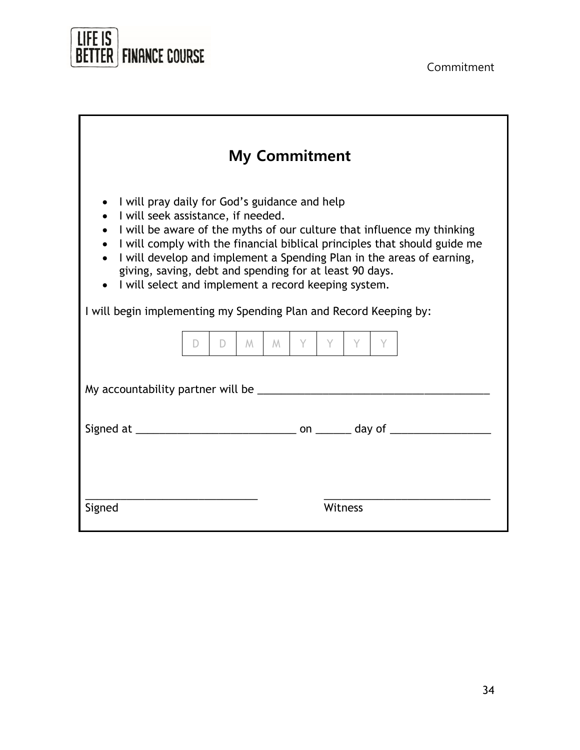

| <b>My Commitment</b>                                                                                                                                                                                                                                                                                                                                                                                                                                |  |  |  |  |  |  |  |  |
|-----------------------------------------------------------------------------------------------------------------------------------------------------------------------------------------------------------------------------------------------------------------------------------------------------------------------------------------------------------------------------------------------------------------------------------------------------|--|--|--|--|--|--|--|--|
| I will pray daily for God's guidance and help<br>I will seek assistance, if needed.<br>I will be aware of the myths of our culture that influence my thinking<br>I will comply with the financial biblical principles that should guide me<br>I will develop and implement a Spending Plan in the areas of earning,<br>giving, saving, debt and spending for at least 90 days.<br>I will select and implement a record keeping system.<br>$\bullet$ |  |  |  |  |  |  |  |  |
| I will begin implementing my Spending Plan and Record Keeping by:                                                                                                                                                                                                                                                                                                                                                                                   |  |  |  |  |  |  |  |  |
| Y.<br>Y.<br>Y.<br>M<br>D.<br>$M_{\odot}$                                                                                                                                                                                                                                                                                                                                                                                                            |  |  |  |  |  |  |  |  |
|                                                                                                                                                                                                                                                                                                                                                                                                                                                     |  |  |  |  |  |  |  |  |
|                                                                                                                                                                                                                                                                                                                                                                                                                                                     |  |  |  |  |  |  |  |  |
|                                                                                                                                                                                                                                                                                                                                                                                                                                                     |  |  |  |  |  |  |  |  |
|                                                                                                                                                                                                                                                                                                                                                                                                                                                     |  |  |  |  |  |  |  |  |
| Signed<br>Witness                                                                                                                                                                                                                                                                                                                                                                                                                                   |  |  |  |  |  |  |  |  |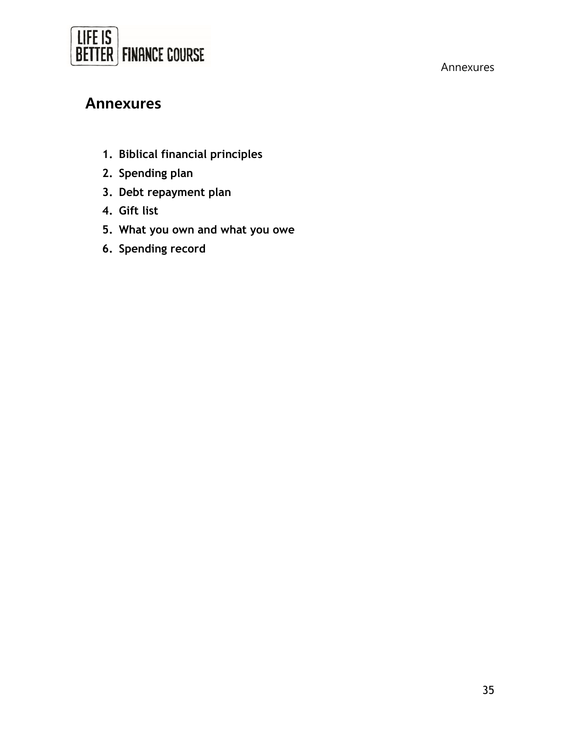

Annexures

# **Annexures**

- **1. Biblical financial principles**
- **2. Spending plan**
- **3. Debt repayment plan**
- **4. Gift list**
- **5. What you own and what you owe**
- **6. Spending record**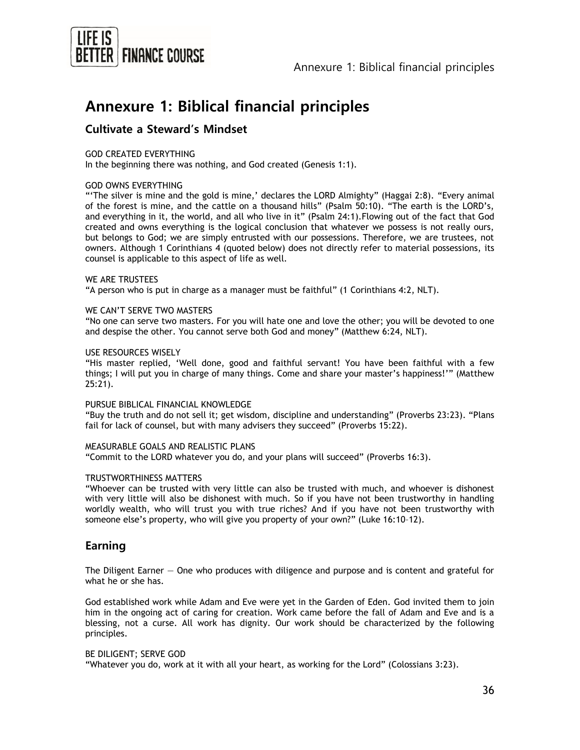



# **Annexure 1: Biblical financial principles**

# **Cultivate a Steward's Mindset**

### GOD CREATED EVERYTHING

In the beginning there was nothing, and God created (Genesis 1:1).

### GOD OWNS EVERYTHING

"'The silver is mine and the gold is mine,' declares the LORD Almighty" (Haggai 2:8). "Every animal of the forest is mine, and the cattle on a thousand hills" (Psalm 50:10). "The earth is the LORD's, and everything in it, the world, and all who live in it" (Psalm 24:1).Flowing out of the fact that God created and owns everything is the logical conclusion that whatever we possess is not really ours, but belongs to God; we are simply entrusted with our possessions. Therefore, we are trustees, not owners. Although 1 Corinthians 4 (quoted below) does not directly refer to material possessions, its counsel is applicable to this aspect of life as well.

#### WE ARE TRUSTEES

"A person who is put in charge as a manager must be faithful" (1 Corinthians 4:2, NLT).

### WE CAN'T SERVE TWO MASTERS

"No one can serve two masters. For you will hate one and love the other; you will be devoted to one and despise the other. You cannot serve both God and money" (Matthew 6:24, NLT).

#### USE RESOURCES WISELY

"His master replied, 'Well done, good and faithful servant! You have been faithful with a few things; I will put you in charge of many things. Come and share your master's happiness!'" (Matthew 25:21).

#### PURSUE BIBLICAL FINANCIAL KNOWLEDGE

"Buy the truth and do not sell it; get wisdom, discipline and understanding" (Proverbs 23:23). "Plans fail for lack of counsel, but with many advisers they succeed" (Proverbs 15:22).

#### MEASURABLE GOALS AND REALISTIC PLANS

"Commit to the LORD whatever you do, and your plans will succeed" (Proverbs 16:3).

### TRUSTWORTHINESS MATTERS

"Whoever can be trusted with very little can also be trusted with much, and whoever is dishonest with very little will also be dishonest with much. So if you have not been trustworthy in handling worldly wealth, who will trust you with true riches? And if you have not been trustworthy with someone else's property, who will give you property of your own?" (Luke 16:10–12).

### **Earning**

The Diligent Earner — One who produces with diligence and purpose and is content and grateful for what he or she has.

God established work while Adam and Eve were yet in the Garden of Eden. God invited them to join him in the ongoing act of caring for creation. Work came before the fall of Adam and Eve and is a blessing, not a curse. All work has dignity. Our work should be characterized by the following principles.

#### BE DILIGENT; SERVE GOD

"Whatever you do, work at it with all your heart, as working for the Lord" (Colossians 3:23).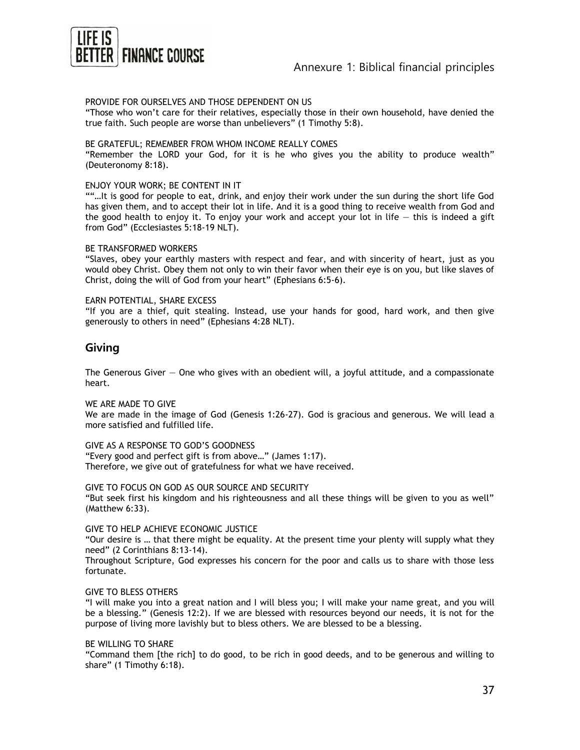

### PROVIDE FOR OURSELVES AND THOSE DEPENDENT ON US

"Those who won't care for their relatives, especially those in their own household, have denied the true faith. Such people are worse than unbelievers" (1 Timothy 5:8).

#### BE GRATEFUL; REMEMBER FROM WHOM INCOME REALLY COMES

"Remember the LORD your God, for it is he who gives you the ability to produce wealth" (Deuteronomy 8:18).

#### ENJOY YOUR WORK; BE CONTENT IN IT

""…It is good for people to eat, drink, and enjoy their work under the sun during the short life God has given them, and to accept their lot in life. And it is a good thing to receive wealth from God and the good health to enjoy it. To enjoy your work and accept your lot in life  $-$  this is indeed a gift from God" (Ecclesiastes 5:18-19 NLT).

#### BE TRANSFORMED WORKERS

"Slaves, obey your earthly masters with respect and fear, and with sincerity of heart, just as you would obey Christ. Obey them not only to win their favor when their eye is on you, but like slaves of Christ, doing the will of God from your heart" (Ephesians 6:5-6).

#### EARN POTENTIAL, SHARE EXCESS

"If you are a thief, quit stealing. Instead, use your hands for good, hard work, and then give generously to others in need" (Ephesians 4:28 NLT).

### **Giving**

The Generous Giver — One who gives with an obedient will, a joyful attitude, and a compassionate heart.

WE ARE MADE TO GIVE We are made in the image of God (Genesis 1:26-27). God is gracious and generous. We will lead a more satisfied and fulfilled life.

#### GIVE AS A RESPONSE TO GOD'S GOODNESS

"Every good and perfect gift is from above…" (James 1:17). Therefore, we give out of gratefulness for what we have received.

GIVE TO FOCUS ON GOD AS OUR SOURCE AND SECURITY "But seek first his kingdom and his righteousness and all these things will be given to you as well" (Matthew 6:33).

#### GIVE TO HELP ACHIEVE ECONOMIC JUSTICE

"Our desire is … that there might be equality. At the present time your plenty will supply what they need" (2 Corinthians 8:13-14).

Throughout Scripture, God expresses his concern for the poor and calls us to share with those less fortunate.

#### GIVE TO BLESS OTHERS

"I will make you into a great nation and I will bless you; I will make your name great, and you will be a blessing." (Genesis 12:2). If we are blessed with resources beyond our needs, it is not for the purpose of living more lavishly but to bless others. We are blessed to be a blessing.

#### BE WILLING TO SHARE

"Command them [the rich] to do good, to be rich in good deeds, and to be generous and willing to share" (1 Timothy 6:18).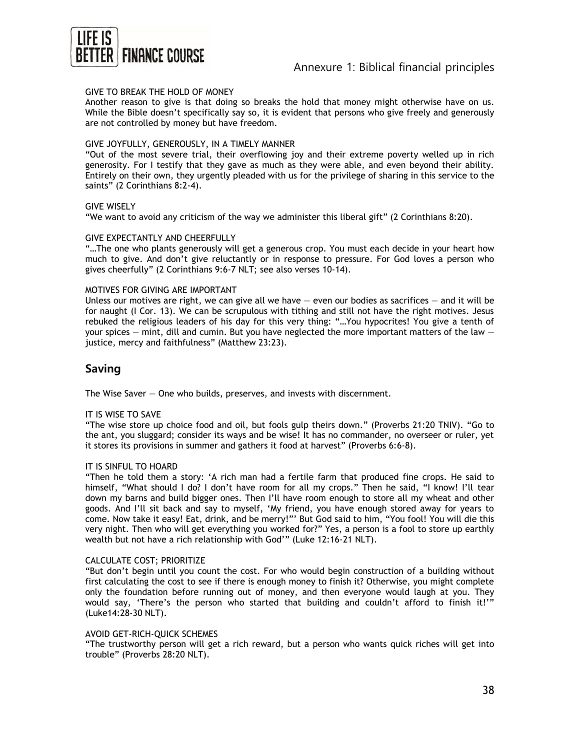

### GIVE TO BREAK THE HOLD OF MONEY

Another reason to give is that doing so breaks the hold that money might otherwise have on us. While the Bible doesn't specifically say so, it is evident that persons who give freely and generously are not controlled by money but have freedom.

### GIVE JOYFULLY, GENEROUSLY, IN A TIMELY MANNER

"Out of the most severe trial, their overflowing joy and their extreme poverty welled up in rich generosity. For I testify that they gave as much as they were able, and even beyond their ability. Entirely on their own, they urgently pleaded with us for the privilege of sharing in this service to the saints" (2 Corinthians 8:2-4).

#### GIVE WISELY

"We want to avoid any criticism of the way we administer this liberal gift" (2 Corinthians 8:20).

#### GIVE EXPECTANTLY AND CHEERFULLY

"…The one who plants generously will get a generous crop. You must each decide in your heart how much to give. And don't give reluctantly or in response to pressure. For God loves a person who gives cheerfully" (2 Corinthians 9:6-7 NLT; see also verses 10-14).

#### MOTIVES FOR GIVING ARE IMPORTANT

Unless our motives are right, we can give all we have  $-$  even our bodies as sacrifices  $-$  and it will be for naught (I Cor. 13). We can be scrupulous with tithing and still not have the right motives. Jesus rebuked the religious leaders of his day for this very thing: "…You hypocrites! You give a tenth of your spices  $-$  mint, dill and cumin. But you have neglected the more important matters of the law  $$ justice, mercy and faithfulness" (Matthew 23:23).

### **Saving**

The Wise Saver — One who builds, preserves, and invests with discernment.

#### IT IS WISE TO SAVE

"The wise store up choice food and oil, but fools gulp theirs down." (Proverbs 21:20 TNIV). "Go to the ant, you sluggard; consider its ways and be wise! It has no commander, no overseer or ruler, yet it stores its provisions in summer and gathers it food at harvest" (Proverbs 6:6-8).

#### IT IS SINFUL TO HOARD

"Then he told them a story: 'A rich man had a fertile farm that produced fine crops. He said to himself, "What should I do? I don't have room for all my crops." Then he said, "I know! I'll tear down my barns and build bigger ones. Then I'll have room enough to store all my wheat and other goods. And I'll sit back and say to myself, 'My friend, you have enough stored away for years to come. Now take it easy! Eat, drink, and be merry!"' But God said to him, "You fool! You will die this very night. Then who will get everything you worked for?" Yes, a person is a fool to store up earthly wealth but not have a rich relationship with God'" (Luke 12:16-21 NLT).

#### CALCULATE COST; PRIORITIZE

"But don't begin until you count the cost. For who would begin construction of a building without first calculating the cost to see if there is enough money to finish it? Otherwise, you might complete only the foundation before running out of money, and then everyone would laugh at you. They would say, 'There's the person who started that building and couldn't afford to finish it!'" (Luke14:28-30 NLT).

#### AVOID GET-RICH-QUICK SCHEMES

"The trustworthy person will get a rich reward, but a person who wants quick riches will get into trouble" (Proverbs 28:20 NLT).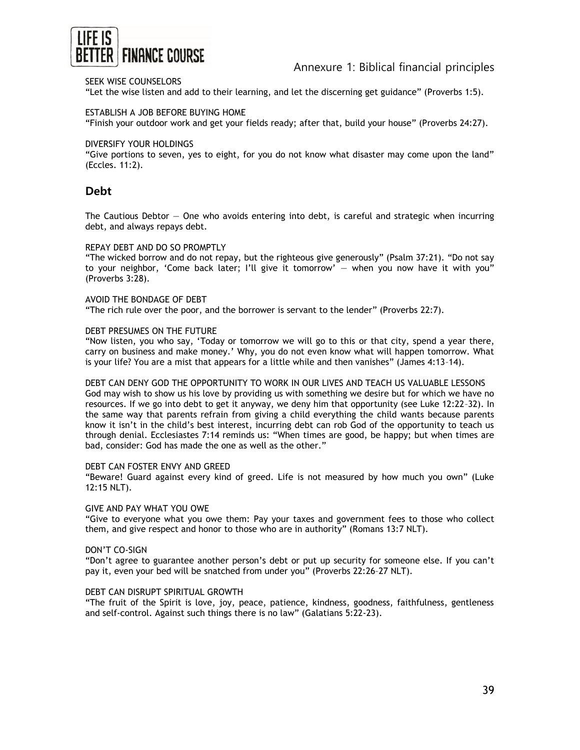

### Annexure 1: Biblical financial principles

SEEK WISE COUNSELORS

"Let the wise listen and add to their learning, and let the discerning get guidance" (Proverbs 1:5).

### ESTABLISH A JOB BEFORE BUYING HOME

"Finish your outdoor work and get your fields ready; after that, build your house" (Proverbs 24:27).

### DIVERSIFY YOUR HOLDINGS

"Give portions to seven, yes to eight, for you do not know what disaster may come upon the land" (Eccles. 11:2).

### **Debt**

The Cautious Debtor — One who avoids entering into debt, is careful and strategic when incurring debt, and always repays debt.

### REPAY DEBT AND DO SO PROMPTLY

"The wicked borrow and do not repay, but the righteous give generously" (Psalm 37:21). "Do not say to your neighbor, 'Come back later; I'll give it tomorrow' — when you now have it with you" (Proverbs 3:28).

### AVOID THE BONDAGE OF DEBT

"The rich rule over the poor, and the borrower is servant to the lender" (Proverbs 22:7).

### DEBT PRESUMES ON THE FUTURE

"Now listen, you who say, 'Today or tomorrow we will go to this or that city, spend a year there, carry on business and make money.' Why, you do not even know what will happen tomorrow. What is your life? You are a mist that appears for a little while and then vanishes" (James 4:13–14).

### DEBT CAN DENY GOD THE OPPORTUNITY TO WORK IN OUR LIVES AND TEACH US VALUABLE LESSONS God may wish to show us his love by providing us with something we desire but for which we have no

resources. If we go into debt to get it anyway, we deny him that opportunity (see Luke 12:22–32). In the same way that parents refrain from giving a child everything the child wants because parents know it isn't in the child's best interest, incurring debt can rob God of the opportunity to teach us through denial. Ecclesiastes 7:14 reminds us: "When times are good, be happy; but when times are bad, consider: God has made the one as well as the other."

#### DEBT CAN FOSTER ENVY AND GREED

"Beware! Guard against every kind of greed. Life is not measured by how much you own" (Luke 12:15 NLT).

#### GIVE AND PAY WHAT YOU OWE

"Give to everyone what you owe them: Pay your taxes and government fees to those who collect them, and give respect and honor to those who are in authority" (Romans 13:7 NLT).

### DON'T CO-SIGN

"Don't agree to guarantee another person's debt or put up security for someone else. If you can't pay it, even your bed will be snatched from under you" (Proverbs 22:26–27 NLT).

#### DEBT CAN DISRUPT SPIRITUAL GROWTH

"The fruit of the Spirit is love, joy, peace, patience, kindness, goodness, faithfulness, gentleness and self-control. Against such things there is no law" (Galatians 5:22-23).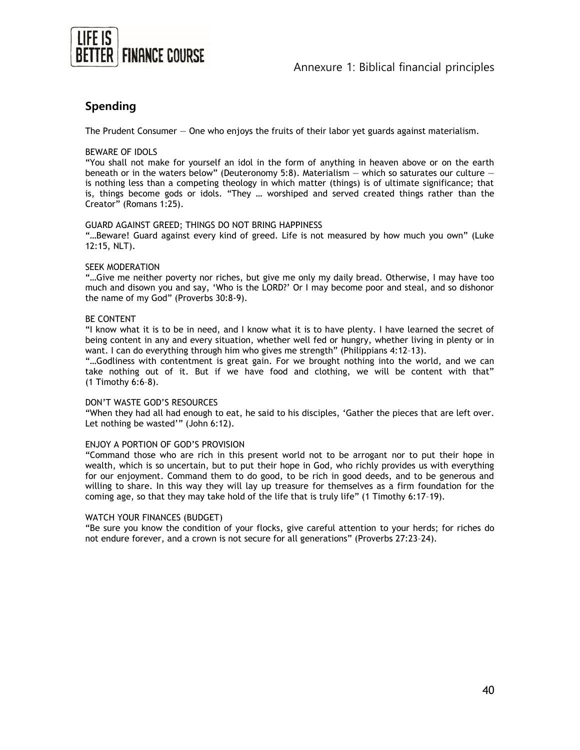

The Prudent Consumer — One who enjoys the fruits of their labor yet guards against materialism.

### BEWARE OF IDOLS

"You shall not make for yourself an idol in the form of anything in heaven above or on the earth beneath or in the waters below" (Deuteronomy 5:8). Materialism  $-$  which so saturates our culture  $$ is nothing less than a competing theology in which matter (things) is of ultimate significance; that is, things become gods or idols. "They … worshiped and served created things rather than the Creator" (Romans 1:25).

### GUARD AGAINST GREED; THINGS DO NOT BRING HAPPINESS

"…Beware! Guard against every kind of greed. Life is not measured by how much you own" (Luke 12:15, NLT).

### SEEK MODERATION

"…Give me neither poverty nor riches, but give me only my daily bread. Otherwise, I may have too much and disown you and say, 'Who is the LORD?' Or I may become poor and steal, and so dishonor the name of my God" (Proverbs 30:8-9).

### BE CONTENT

"I know what it is to be in need, and I know what it is to have plenty. I have learned the secret of being content in any and every situation, whether well fed or hungry, whether living in plenty or in want. I can do everything through him who gives me strength" (Philippians 4:12–13).

"…Godliness with contentment is great gain. For we brought nothing into the world, and we can take nothing out of it. But if we have food and clothing, we will be content with that" (1 Timothy 6:6–8).

#### DON'T WASTE GOD'S RESOURCES

"When they had all had enough to eat, he said to his disciples, 'Gather the pieces that are left over. Let nothing be wasted'" (John 6:12).

#### ENJOY A PORTION OF GOD'S PROVISION

"Command those who are rich in this present world not to be arrogant nor to put their hope in wealth, which is so uncertain, but to put their hope in God, who richly provides us with everything for our enjoyment. Command them to do good, to be rich in good deeds, and to be generous and willing to share. In this way they will lay up treasure for themselves as a firm foundation for the coming age, so that they may take hold of the life that is truly life" (1 Timothy 6:17–19).

#### WATCH YOUR FINANCES (BUDGET)

"Be sure you know the condition of your flocks, give careful attention to your herds; for riches do not endure forever, and a crown is not secure for all generations" (Proverbs 27:23–24).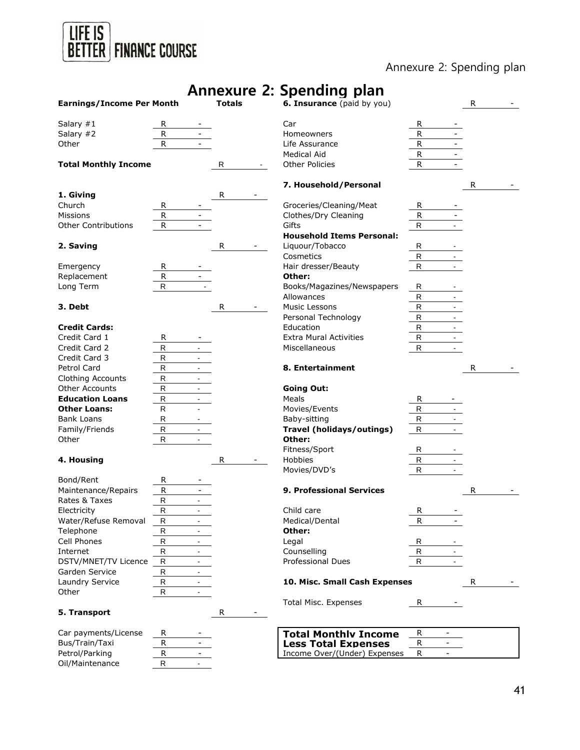

Annexure 2: Spending plan

# **Annexure 2: Spending plan**

| <b>Earnings/Income Per Month</b> | <b>Totals</b>                         | 6. Insurance (paid by you) |                                                     | R                                          |    |
|----------------------------------|---------------------------------------|----------------------------|-----------------------------------------------------|--------------------------------------------|----|
| Salary #1                        | R.                                    |                            | Car                                                 | R.                                         |    |
| Salary #2                        | R<br>$\sim$                           |                            | Homeowners                                          | ${\sf R}$<br>$\overline{\phantom{0}}$      |    |
| Other                            | R<br>$\Box$                           |                            | Life Assurance                                      | R                                          |    |
|                                  |                                       |                            | <b>Medical Aid</b>                                  | R<br>$\sim$                                |    |
| <b>Total Monthly Income</b>      |                                       | R                          | <b>Other Policies</b>                               | R                                          |    |
|                                  |                                       |                            |                                                     |                                            |    |
|                                  |                                       |                            | 7. Household/Personal                               |                                            | R  |
| 1. Giving                        |                                       | R                          |                                                     |                                            |    |
| Church                           | R                                     |                            | Groceries/Cleaning/Meat                             | R                                          |    |
| <b>Missions</b>                  | $\mathsf{R}$                          |                            | Clothes/Dry Cleaning                                | $\mathsf R$                                |    |
| <b>Other Contributions</b>       | R<br>$\blacksquare$                   |                            | Gifts                                               | ${\sf R}$                                  |    |
| 2. Saving                        |                                       | R                          | <b>Household Items Personal:</b><br>Liquour/Tobacco | R                                          |    |
|                                  |                                       |                            | Cosmetics                                           | ${\sf R}$                                  |    |
|                                  |                                       |                            |                                                     |                                            |    |
| Emergency                        | R                                     |                            | Hair dresser/Beauty                                 | $\mathsf R$                                |    |
| Replacement                      | ${\sf R}$<br>$\blacksquare$           |                            | Other:                                              |                                            |    |
| Long Term                        | ${\sf R}$                             |                            | Books/Magazines/Newspapers                          | R                                          |    |
|                                  |                                       |                            | Allowances                                          | $\overline{\mathsf{R}}$                    |    |
| 3. Debt                          |                                       | R                          | Music Lessons                                       | ${\sf R}$<br>$\blacksquare$                |    |
|                                  |                                       |                            | Personal Technology                                 | ${\sf R}$                                  |    |
| <b>Credit Cards:</b>             |                                       |                            | Education                                           | ${\sf R}$                                  |    |
| Credit Card 1                    | R                                     |                            | <b>Extra Mural Activities</b>                       | ${\sf R}$                                  |    |
| Credit Card 2                    | ${\sf R}$<br>$\blacksquare$           |                            | Miscellaneous                                       | ${\sf R}$<br>$\sim$                        |    |
| Credit Card 3                    | ${\sf R}$<br>$\blacksquare$           |                            |                                                     |                                            |    |
| Petrol Card                      | $\mathsf{R}$<br>$\blacksquare$        |                            | 8. Entertainment                                    |                                            | R  |
| <b>Clothing Accounts</b>         | ${\sf R}$<br>$\sim$                   |                            |                                                     |                                            |    |
| <b>Other Accounts</b>            | R<br>$\blacksquare$                   |                            | <b>Going Out:</b>                                   |                                            |    |
| <b>Education Loans</b>           | ${\sf R}$                             |                            | Meals                                               | R                                          |    |
| <b>Other Loans:</b>              | $\mathsf{R}$                          |                            | Movies/Events                                       | $\mathsf{R}$                               |    |
| <b>Bank Loans</b>                | ${\sf R}$                             |                            | Baby-sitting                                        | ${\sf R}$                                  |    |
| Family/Friends                   | $\mathsf R$<br>$\sim$                 |                            | Travel (holidays/outings)                           | ${\sf R}$<br>$\sim$                        |    |
| Other                            | ${\sf R}$<br>$\blacksquare$           |                            | Other:                                              |                                            |    |
|                                  |                                       |                            | Fitness/Sport                                       | R                                          |    |
| 4. Housing                       |                                       | R                          | Hobbies                                             | R                                          |    |
|                                  |                                       |                            | Movies/DVD's                                        | ${\sf R}$<br>$\sim$                        |    |
| Bond/Rent                        | R<br>-                                |                            |                                                     |                                            |    |
| Maintenance/Repairs              | ${\sf R}$<br>$\overline{\phantom{a}}$ |                            | 9. Professional Services                            |                                            | R  |
| Rates & Taxes                    | ${\sf R}$<br>$\blacksquare$           |                            |                                                     |                                            |    |
| Electricity                      | $\mathsf R$<br>$\blacksquare$         |                            | Child care                                          | R                                          |    |
| Water/Refuse Removal             | ${\sf R}$                             |                            | Medical/Dental                                      | R                                          |    |
| Telephone                        | $\mathsf R$<br>$\blacksquare$         |                            | Other:                                              |                                            |    |
| Cell Phones                      | ${\sf R}$                             |                            | Legal                                               | $\overline{\mathsf{R}}$                    |    |
| Internet                         | R<br>$\blacksquare$                   |                            | Counselling                                         | $\mathsf{R}$                               |    |
| DSTV/MNET/TV Licence             | $\mathsf R$<br>$\blacksquare$         |                            | Professional Dues                                   | R.                                         |    |
| Garden Service                   | ${\sf R}$<br>$\blacksquare$           |                            |                                                     |                                            |    |
| Laundry Service                  | R<br>$\blacksquare$                   |                            | 10. Misc. Small Cash Expenses                       |                                            | R. |
| Other                            | ${\sf R}$<br>$\blacksquare$           |                            |                                                     |                                            |    |
|                                  |                                       |                            | Total Misc. Expenses                                | R                                          |    |
| 5. Transport                     |                                       | R                          |                                                     |                                            |    |
| Car payments/License             | R.                                    |                            | <b>Total Monthly Income</b>                         | R<br>$\blacksquare$                        |    |
| Bus/Train/Taxi                   | R                                     |                            | <b>Less Total Expenses</b>                          | $\overline{R}$<br>$\overline{\phantom{a}}$ |    |
| Petrol/Parking                   | R                                     |                            | Income Over/(Under) Expenses                        | R.                                         |    |
| Oil/Maintenance                  | R                                     |                            |                                                     |                                            |    |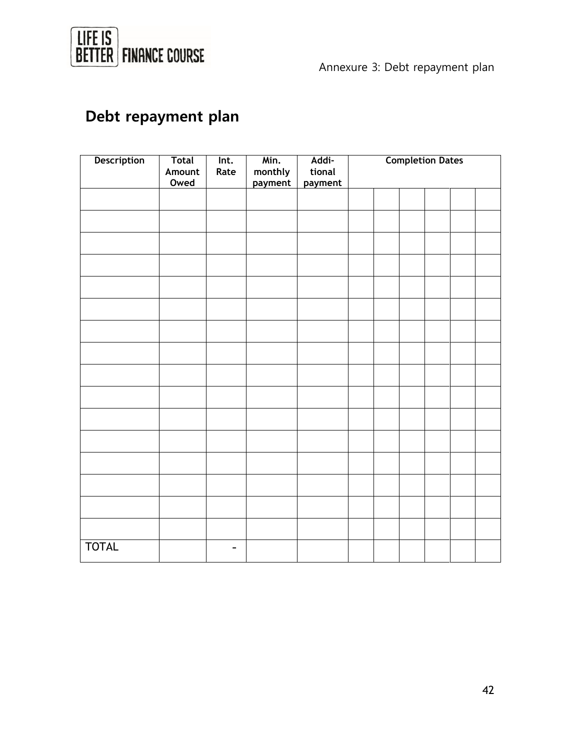

# Annexure 3: Debt repayment plan

# **Debt repayment plan**

| <b>Description</b> | <b>Total</b><br>Amount<br>Owed | Int.<br>Rate                 | Min.<br>monthly<br>payment | Addi-<br>tional<br>payment | <b>Completion Dates</b> |  |  |  |  |
|--------------------|--------------------------------|------------------------------|----------------------------|----------------------------|-------------------------|--|--|--|--|
|                    |                                |                              |                            |                            |                         |  |  |  |  |
|                    |                                |                              |                            |                            |                         |  |  |  |  |
|                    |                                |                              |                            |                            |                         |  |  |  |  |
|                    |                                |                              |                            |                            |                         |  |  |  |  |
|                    |                                |                              |                            |                            |                         |  |  |  |  |
|                    |                                |                              |                            |                            |                         |  |  |  |  |
|                    |                                |                              |                            |                            |                         |  |  |  |  |
|                    |                                |                              |                            |                            |                         |  |  |  |  |
|                    |                                |                              |                            |                            |                         |  |  |  |  |
|                    |                                |                              |                            |                            |                         |  |  |  |  |
|                    |                                |                              |                            |                            |                         |  |  |  |  |
|                    |                                |                              |                            |                            |                         |  |  |  |  |
|                    |                                |                              |                            |                            |                         |  |  |  |  |
|                    |                                |                              |                            |                            |                         |  |  |  |  |
|                    |                                |                              |                            |                            |                         |  |  |  |  |
|                    |                                |                              |                            |                            |                         |  |  |  |  |
| <b>TOTAL</b>       |                                | $\qquad \qquad \blacksquare$ |                            |                            |                         |  |  |  |  |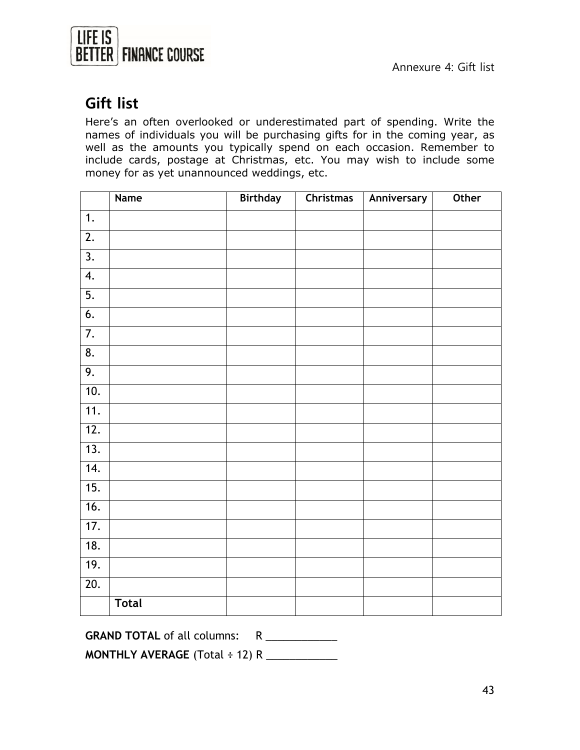

# **Gift list**

Here's an often overlooked or underestimated part of spending. Write the names of individuals you will be purchasing gifts for in the coming year, as well as the amounts you typically spend on each occasion. Remember to include cards, postage at Christmas, etc. You may wish to include some money for as yet unannounced weddings, etc.

|                  | <b>Name</b>  | <b>Birthday</b> | <b>Christmas</b> | Anniversary | Other |
|------------------|--------------|-----------------|------------------|-------------|-------|
| 1.               |              |                 |                  |             |       |
| $\overline{2}$ . |              |                 |                  |             |       |
| $\overline{3}$ . |              |                 |                  |             |       |
| 4.               |              |                 |                  |             |       |
| 5.               |              |                 |                  |             |       |
| $\overline{6}$ . |              |                 |                  |             |       |
| $\overline{7}$ . |              |                 |                  |             |       |
| 8.               |              |                 |                  |             |       |
| 9.               |              |                 |                  |             |       |
| 10.              |              |                 |                  |             |       |
| 11.              |              |                 |                  |             |       |
| 12.              |              |                 |                  |             |       |
| $\overline{13.}$ |              |                 |                  |             |       |
| 14.              |              |                 |                  |             |       |
| 15.              |              |                 |                  |             |       |
| 16.              |              |                 |                  |             |       |
| 17.              |              |                 |                  |             |       |
| $\overline{18.}$ |              |                 |                  |             |       |
| 19.              |              |                 |                  |             |       |
| 20.              |              |                 |                  |             |       |
|                  | <b>Total</b> |                 |                  |             |       |

GRAND TOTAL of all columns: R \_\_\_\_\_\_\_\_\_\_\_

**MONTHLY AVERAGE** (Total ÷ 12) R \_\_\_\_\_\_\_\_\_\_\_\_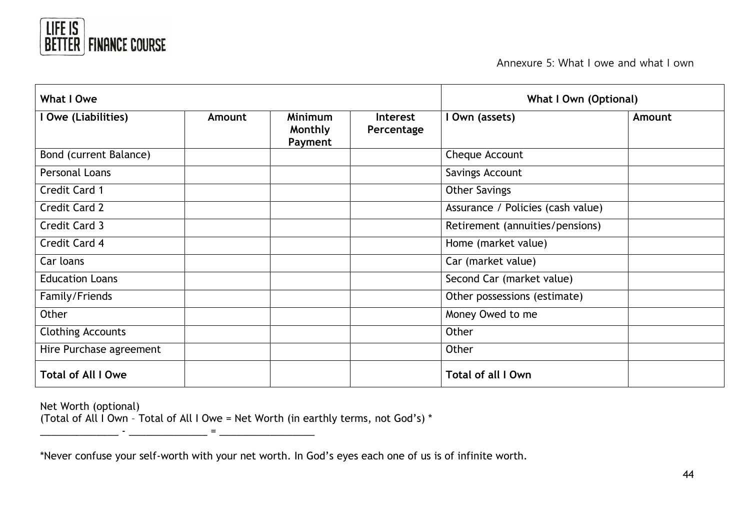

Annexure 5: What I owe and what I own

| What I Owe                |        | What I Own (Optional)                |                        |                                   |        |
|---------------------------|--------|--------------------------------------|------------------------|-----------------------------------|--------|
| I Owe (Liabilities)       | Amount | <b>Minimum</b><br>Monthly<br>Payment | Interest<br>Percentage | I Own (assets)                    | Amount |
| Bond (current Balance)    |        |                                      |                        | Cheque Account                    |        |
| <b>Personal Loans</b>     |        |                                      |                        | Savings Account                   |        |
| Credit Card 1             |        |                                      |                        | <b>Other Savings</b>              |        |
| Credit Card 2             |        |                                      |                        | Assurance / Policies (cash value) |        |
| Credit Card 3             |        |                                      |                        | Retirement (annuities/pensions)   |        |
| Credit Card 4             |        |                                      |                        | Home (market value)               |        |
| Car loans                 |        |                                      |                        | Car (market value)                |        |
| <b>Education Loans</b>    |        |                                      |                        | Second Car (market value)         |        |
| Family/Friends            |        |                                      |                        | Other possessions (estimate)      |        |
| Other                     |        |                                      |                        | Money Owed to me                  |        |
| <b>Clothing Accounts</b>  |        |                                      |                        | Other                             |        |
| Hire Purchase agreement   |        |                                      |                        | Other                             |        |
| <b>Total of All I Owe</b> |        |                                      |                        | <b>Total of all I Own</b>         |        |

Net Worth (optional)

(Total of All I Own - Total of All I Owe = Net Worth (in earthly terms, not God's)  $*$  $\mathcal{L}_\text{max} = \mathcal{L}_\text{max} = \mathcal{L}_\text{max} = \mathcal{L}_\text{max} = \mathcal{L}_\text{max} = \mathcal{L}_\text{max} = \mathcal{L}_\text{max} = \mathcal{L}_\text{max}$ 

\*Never confuse your self-worth with your net worth. In God's eyes each one of us is of infinite worth.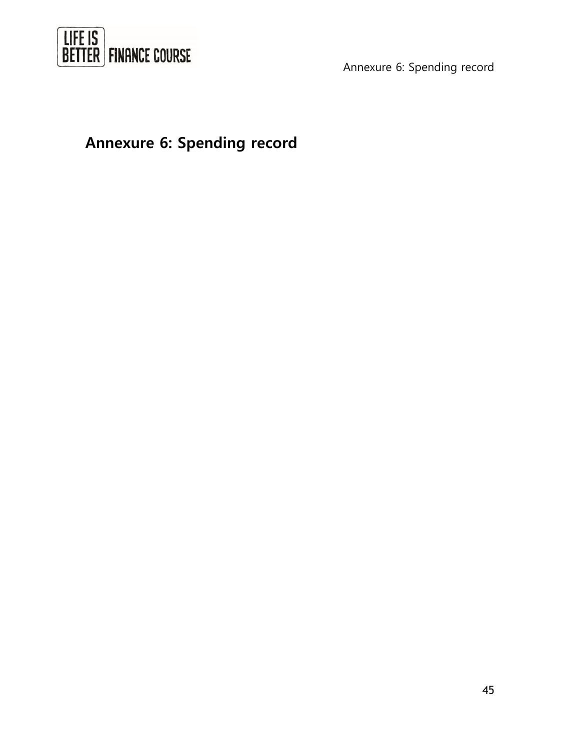

Annexure 6: Spending record

**Annexure 6: Spending record**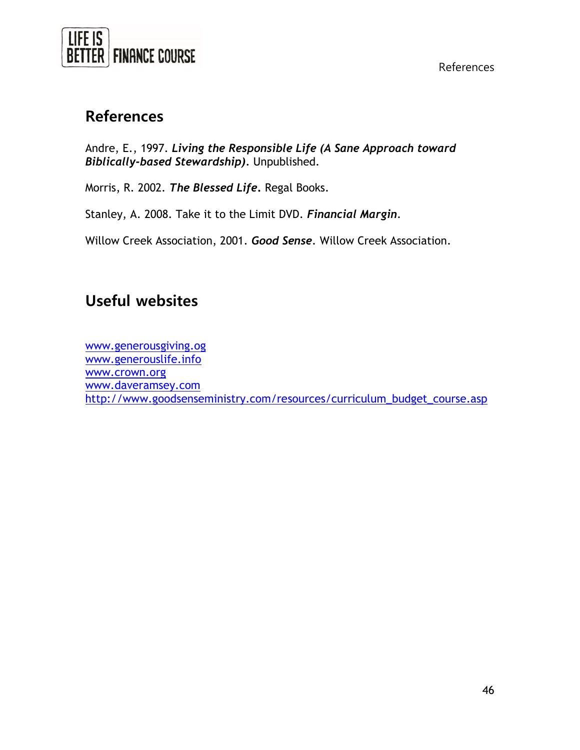

References

# **References**

Andre, E., 1997. *Living the Responsible Life (A Sane Approach toward Biblically-based Stewardship).* Unpublished.

Morris, R. 2002. *The Blessed Life***.** Regal Books.

Stanley, A. 2008. Take it to the Limit DVD. *Financial Margin*.

Willow Creek Association, 2001. *Good Sense*. Willow Creek Association.

# **Useful websites**

[www.generousgiving.og](http://www.generousgiving.og/) [www.generouslife.info](http://www.generouslife.info/) [www.crown.org](http://www.crown.org/) [www.daveramsey.com](http://www.daveramsey.com/) [http://www.goodsenseministry.com/resources/curriculum\\_budget\\_course.asp](http://www.goodsenseministry.com/resources/curriculum_budget_course.asp)